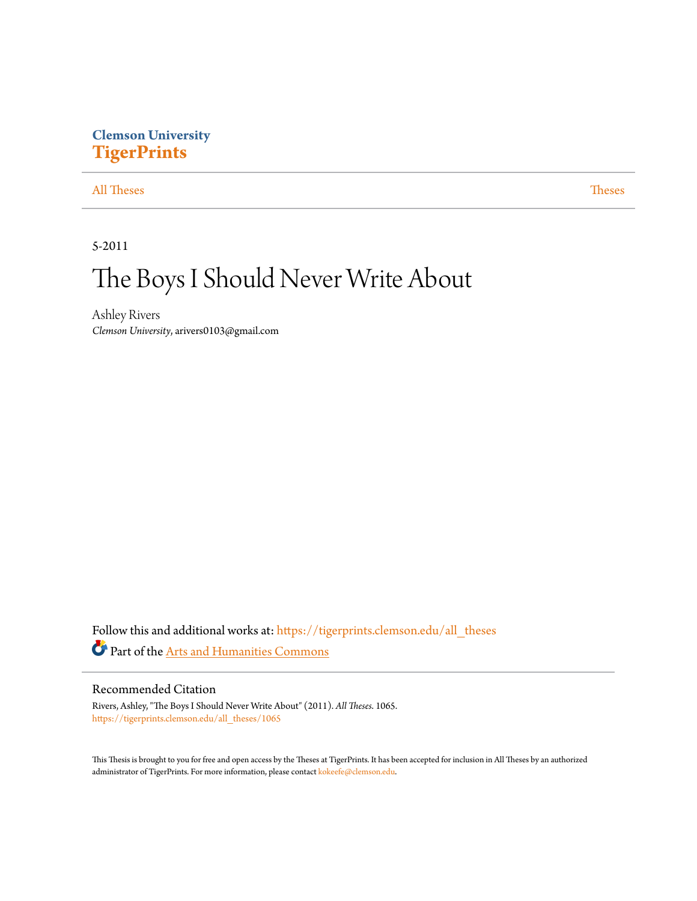# **Clemson University [TigerPrints](https://tigerprints.clemson.edu?utm_source=tigerprints.clemson.edu%2Fall_theses%2F1065&utm_medium=PDF&utm_campaign=PDFCoverPages)**

[All Theses](https://tigerprints.clemson.edu/all_theses?utm_source=tigerprints.clemson.edu%2Fall_theses%2F1065&utm_medium=PDF&utm_campaign=PDFCoverPages) **[Theses](https://tigerprints.clemson.edu/theses?utm_source=tigerprints.clemson.edu%2Fall_theses%2F1065&utm_medium=PDF&utm_campaign=PDFCoverPages)** 

5-2011

# The Boys I Should Never Write About

Ashley Rivers *Clemson University*, arivers0103@gmail.com

Follow this and additional works at: [https://tigerprints.clemson.edu/all\\_theses](https://tigerprints.clemson.edu/all_theses?utm_source=tigerprints.clemson.edu%2Fall_theses%2F1065&utm_medium=PDF&utm_campaign=PDFCoverPages) Part of the [Arts and Humanities Commons](http://network.bepress.com/hgg/discipline/438?utm_source=tigerprints.clemson.edu%2Fall_theses%2F1065&utm_medium=PDF&utm_campaign=PDFCoverPages)

### Recommended Citation

Rivers, Ashley, "The Boys I Should Never Write About" (2011). *All Theses*. 1065. [https://tigerprints.clemson.edu/all\\_theses/1065](https://tigerprints.clemson.edu/all_theses/1065?utm_source=tigerprints.clemson.edu%2Fall_theses%2F1065&utm_medium=PDF&utm_campaign=PDFCoverPages)

This Thesis is brought to you for free and open access by the Theses at TigerPrints. It has been accepted for inclusion in All Theses by an authorized administrator of TigerPrints. For more information, please contact [kokeefe@clemson.edu](mailto:kokeefe@clemson.edu).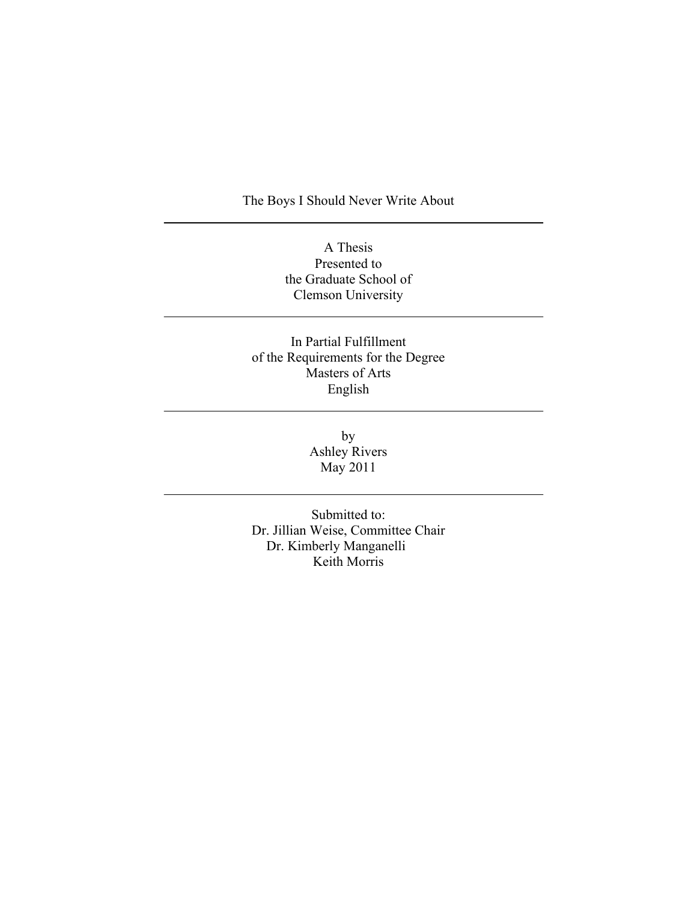The Boys I Should Never Write About

A Thesis Presented to the Graduate School of Clemson University

In Partial Fulfillment of the Requirements for the Degree Masters of Arts English

> by Ashley Rivers May 2011

Submitted to: Dr. Jillian Weise, Committee Chair Dr. Kimberly Manganelli Keith Morris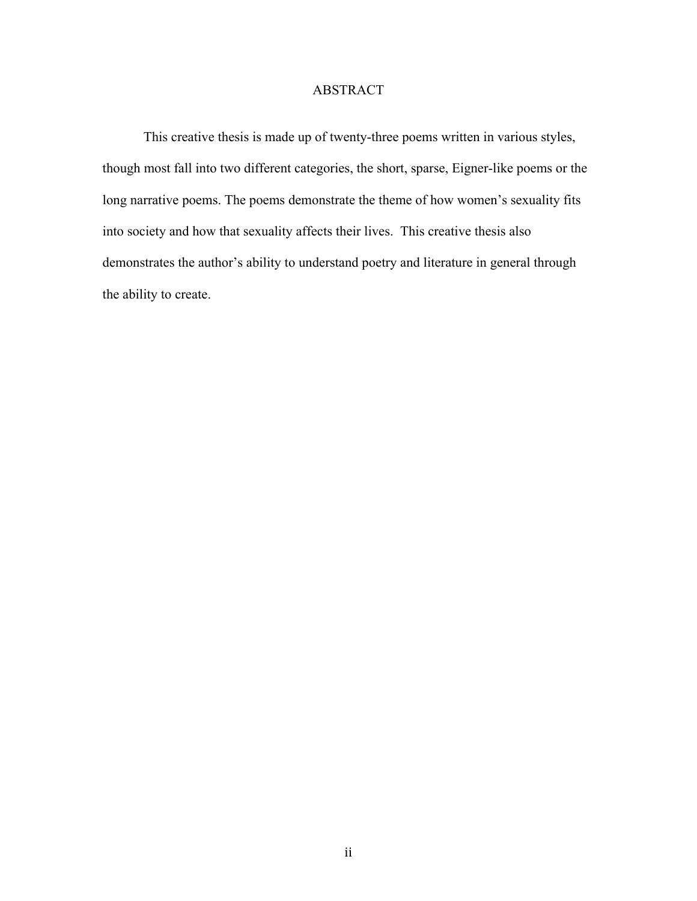### ABSTRACT

This creative thesis is made up of twenty-three poems written in various styles, though most fall into two different categories, the short, sparse, Eigner-like poems or the long narrative poems. The poems demonstrate the theme of how women's sexuality fits into society and how that sexuality affects their lives. This creative thesis also demonstrates the author's ability to understand poetry and literature in general through the ability to create.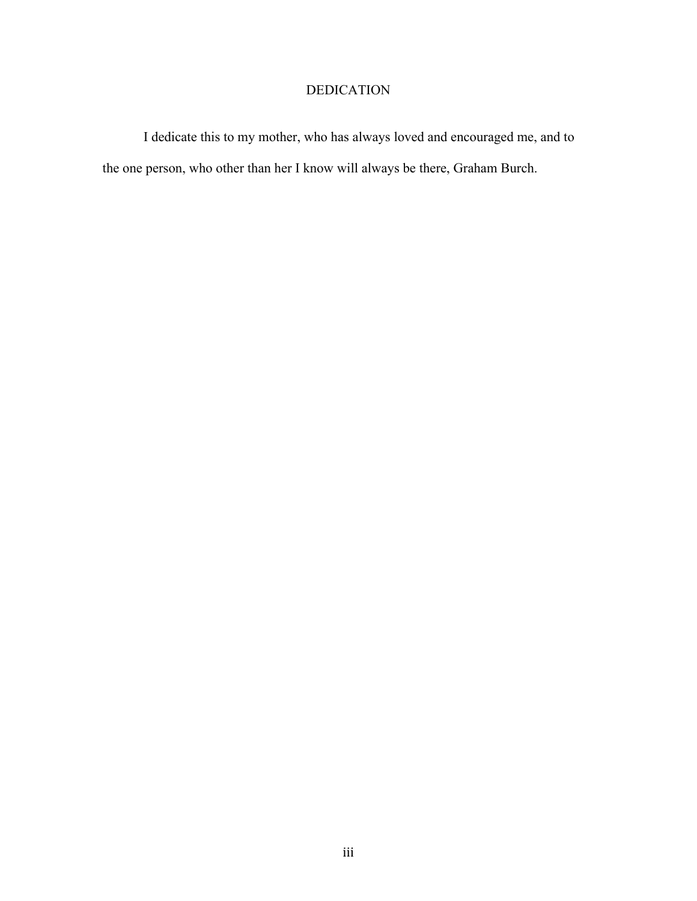# DEDICATION

I dedicate this to my mother, who has always loved and encouraged me, and to the one person, who other than her I know will always be there, Graham Burch.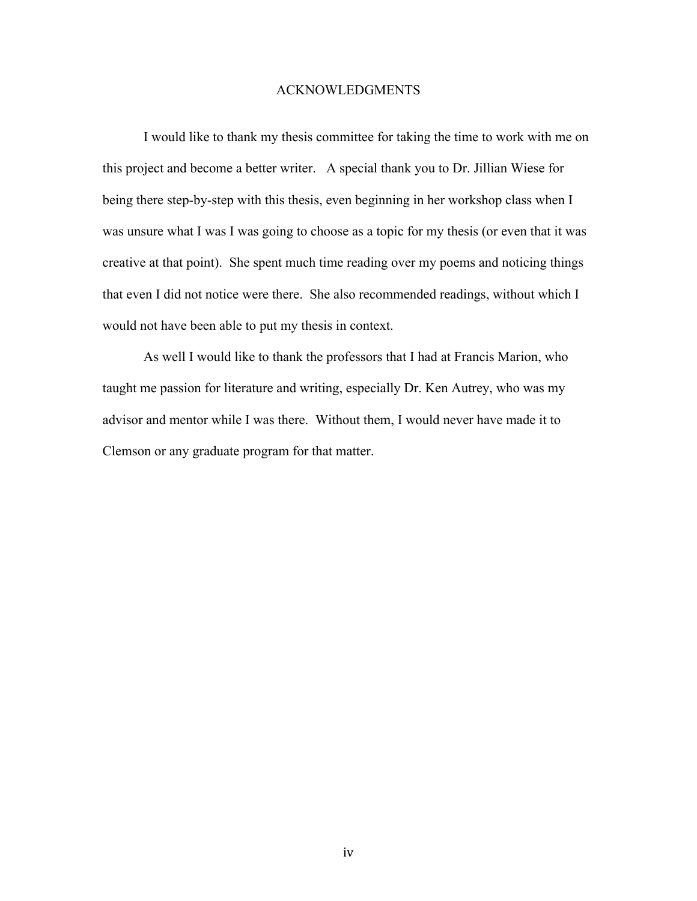### ACKNOWLEDGMENTS

I would like to thank my thesis committee for taking the time to work with me on this project and become a better writer. A special thank you to Dr. Jillian Wiese for being there step-by-step with this thesis, even beginning in her workshop class when I was unsure what I was I was going to choose as a topic for my thesis (or even that it was creative at that point). She spent much time reading over my poems and noticing things that even I did not notice were there. She also recommended readings, without which I would not have been able to put my thesis in context.

As well I would like to thank the professors that I had at Francis Marion, who taught me passion for literature and writing, especially Dr. Ken Autrey, who was my advisor and mentor while I was there. Without them, I would never have made it to Clemson or any graduate program for that matter.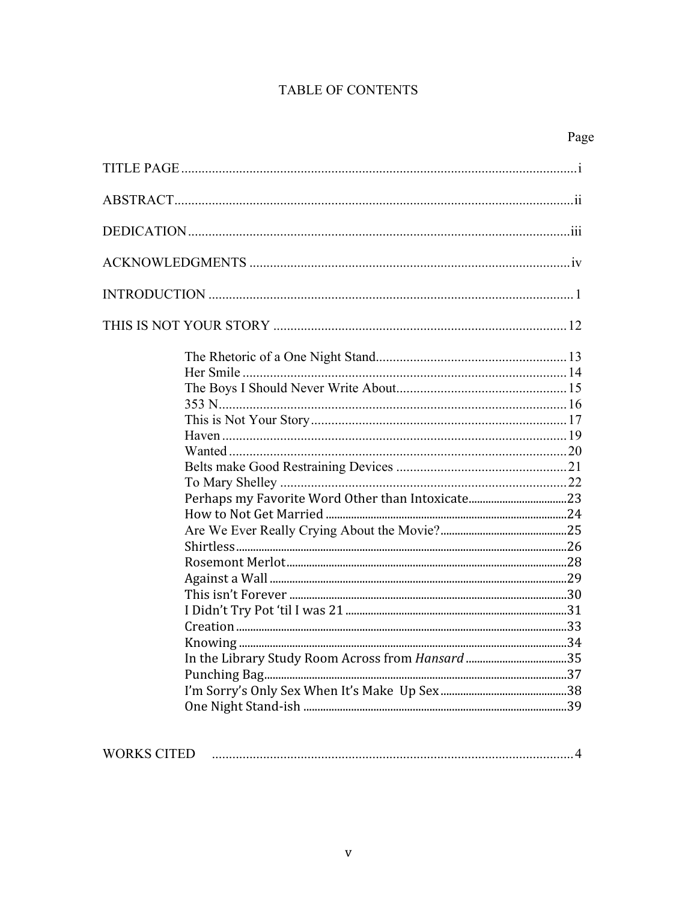# TABLE OF CONTENTS

| Page |
|------|
|      |
|      |
|      |
|      |
|      |
|      |
|      |
|      |
|      |
|      |
|      |
|      |
|      |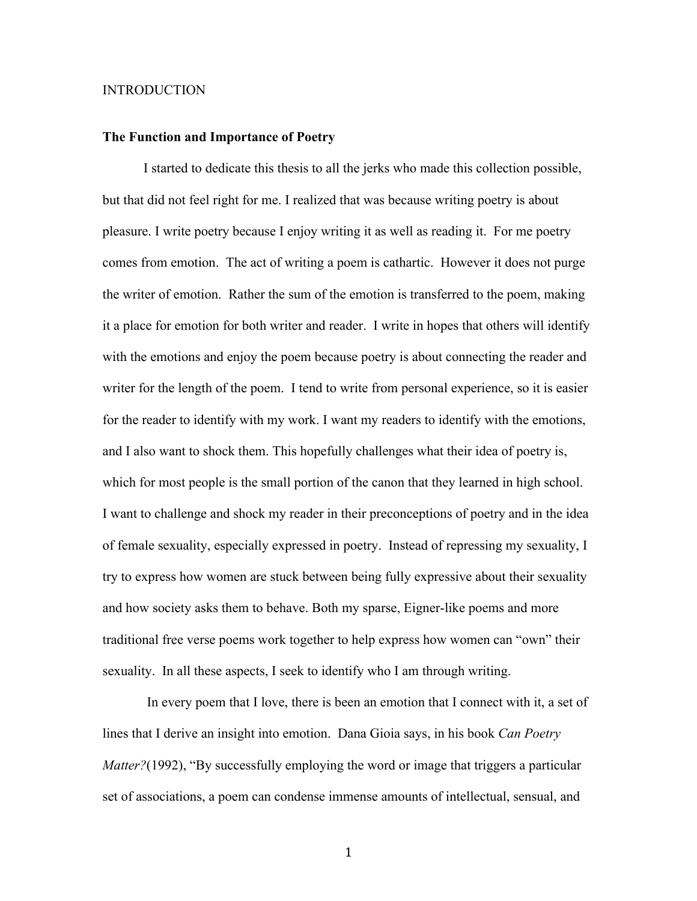### INTRODUCTION

#### **The Function and Importance of Poetry**

I started to dedicate this thesis to all the jerks who made this collection possible, but that did not feel right for me. I realized that was because writing poetry is about pleasure. I write poetry because I enjoy writing it as well as reading it. For me poetry comes from emotion. The act of writing a poem is cathartic. However it does not purge the writer of emotion. Rather the sum of the emotion is transferred to the poem, making it a place for emotion for both writer and reader. I write in hopes that others will identify with the emotions and enjoy the poem because poetry is about connecting the reader and writer for the length of the poem. I tend to write from personal experience, so it is easier for the reader to identify with my work. I want my readers to identify with the emotions, and I also want to shock them. This hopefully challenges what their idea of poetry is, which for most people is the small portion of the canon that they learned in high school. I want to challenge and shock my reader in their preconceptions of poetry and in the idea of female sexuality, especially expressed in poetry. Instead of repressing my sexuality, I try to express how women are stuck between being fully expressive about their sexuality and how society asks them to behave. Both my sparse, Eigner-like poems and more traditional free verse poems work together to help express how women can "own" their sexuality. In all these aspects, I seek to identify who I am through writing.

 In every poem that I love, there is been an emotion that I connect with it, a set of lines that I derive an insight into emotion. Dana Gioia says, in his book *Can Poetry Matter?*(1992), "By successfully employing the word or image that triggers a particular set of associations, a poem can condense immense amounts of intellectual, sensual, and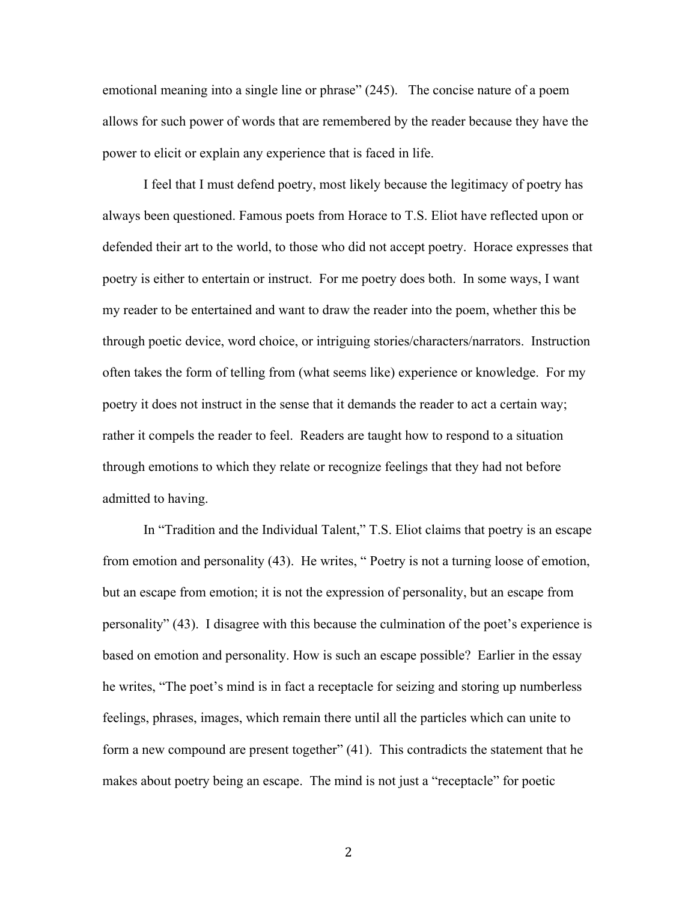emotional meaning into a single line or phrase" (245). The concise nature of a poem allows for such power of words that are remembered by the reader because they have the power to elicit or explain any experience that is faced in life.

I feel that I must defend poetry, most likely because the legitimacy of poetry has always been questioned. Famous poets from Horace to T.S. Eliot have reflected upon or defended their art to the world, to those who did not accept poetry. Horace expresses that poetry is either to entertain or instruct. For me poetry does both. In some ways, I want my reader to be entertained and want to draw the reader into the poem, whether this be through poetic device, word choice, or intriguing stories/characters/narrators. Instruction often takes the form of telling from (what seems like) experience or knowledge. For my poetry it does not instruct in the sense that it demands the reader to act a certain way; rather it compels the reader to feel. Readers are taught how to respond to a situation through emotions to which they relate or recognize feelings that they had not before admitted to having.

In "Tradition and the Individual Talent," T.S. Eliot claims that poetry is an escape from emotion and personality (43). He writes, " Poetry is not a turning loose of emotion, but an escape from emotion; it is not the expression of personality, but an escape from personality" (43). I disagree with this because the culmination of the poet's experience is based on emotion and personality. How is such an escape possible? Earlier in the essay he writes, "The poet's mind is in fact a receptacle for seizing and storing up numberless feelings, phrases, images, which remain there until all the particles which can unite to form a new compound are present together" (41). This contradicts the statement that he makes about poetry being an escape. The mind is not just a "receptacle" for poetic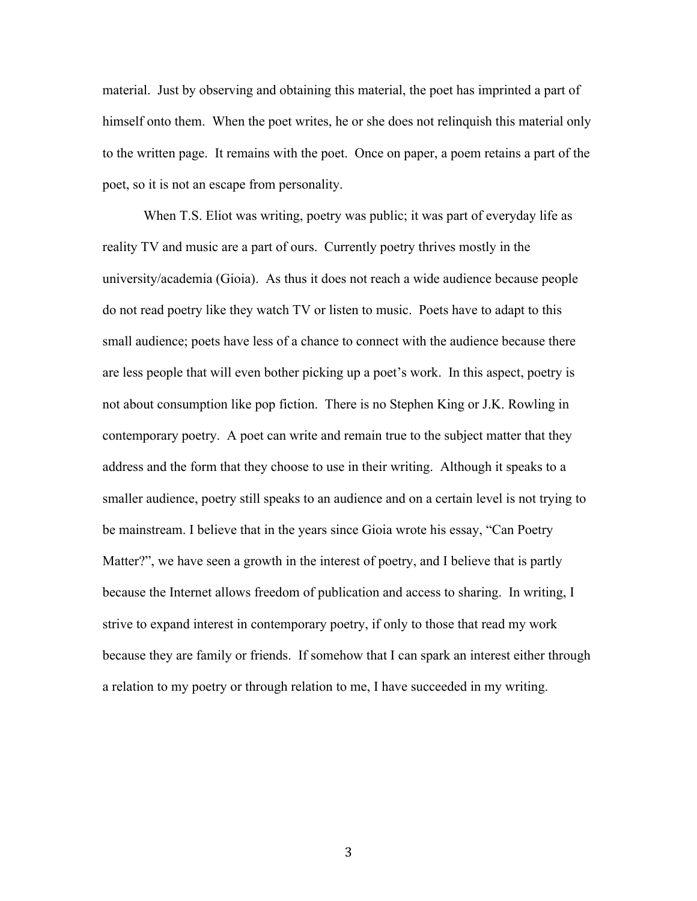material. Just by observing and obtaining this material, the poet has imprinted a part of himself onto them. When the poet writes, he or she does not relinquish this material only to the written page. It remains with the poet. Once on paper, a poem retains a part of the poet, so it is not an escape from personality.

When T.S. Eliot was writing, poetry was public; it was part of everyday life as reality TV and music are a part of ours. Currently poetry thrives mostly in the university/academia (Gioia). As thus it does not reach a wide audience because people do not read poetry like they watch TV or listen to music. Poets have to adapt to this small audience; poets have less of a chance to connect with the audience because there are less people that will even bother picking up a poet's work. In this aspect, poetry is not about consumption like pop fiction. There is no Stephen King or J.K. Rowling in contemporary poetry. A poet can write and remain true to the subject matter that they address and the form that they choose to use in their writing. Although it speaks to a smaller audience, poetry still speaks to an audience and on a certain level is not trying to be mainstream. I believe that in the years since Gioia wrote his essay, "Can Poetry Matter?", we have seen a growth in the interest of poetry, and I believe that is partly because the Internet allows freedom of publication and access to sharing. In writing, I strive to expand interest in contemporary poetry, if only to those that read my work because they are family or friends. If somehow that I can spark an interest either through a relation to my poetry or through relation to me, I have succeeded in my writing.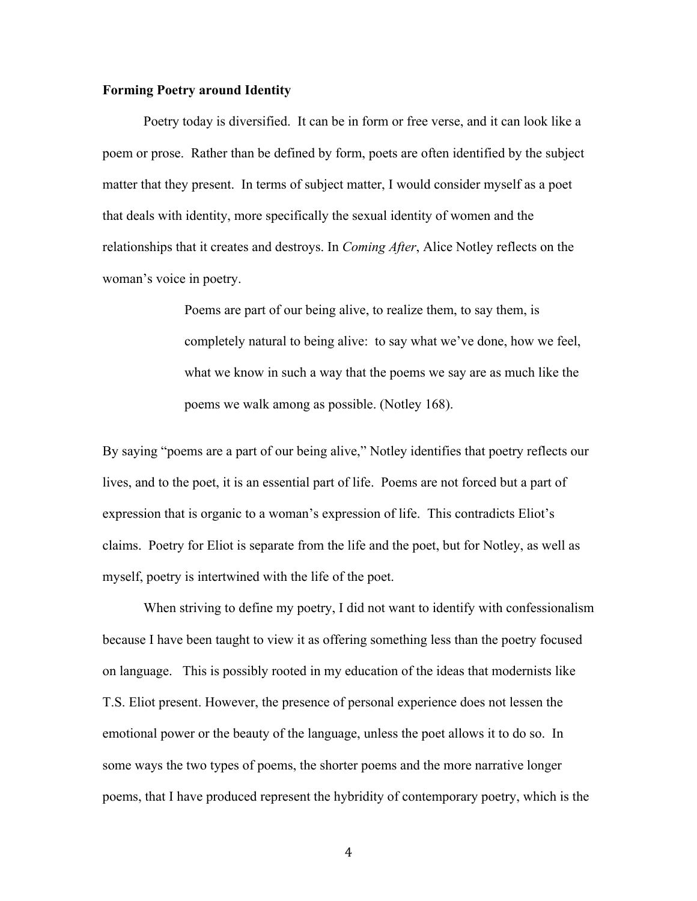### **Forming Poetry around Identity**

Poetry today is diversified. It can be in form or free verse, and it can look like a poem or prose. Rather than be defined by form, poets are often identified by the subject matter that they present. In terms of subject matter, I would consider myself as a poet that deals with identity, more specifically the sexual identity of women and the relationships that it creates and destroys. In *Coming After*, Alice Notley reflects on the woman's voice in poetry.

> Poems are part of our being alive, to realize them, to say them, is completely natural to being alive: to say what we've done, how we feel, what we know in such a way that the poems we say are as much like the poems we walk among as possible. (Notley 168).

By saying "poems are a part of our being alive," Notley identifies that poetry reflects our lives, and to the poet, it is an essential part of life. Poems are not forced but a part of expression that is organic to a woman's expression of life. This contradicts Eliot's claims. Poetry for Eliot is separate from the life and the poet, but for Notley, as well as myself, poetry is intertwined with the life of the poet.

When striving to define my poetry, I did not want to identify with confessionalism because I have been taught to view it as offering something less than the poetry focused on language. This is possibly rooted in my education of the ideas that modernists like T.S. Eliot present. However, the presence of personal experience does not lessen the emotional power or the beauty of the language, unless the poet allows it to do so. In some ways the two types of poems, the shorter poems and the more narrative longer poems, that I have produced represent the hybridity of contemporary poetry, which is the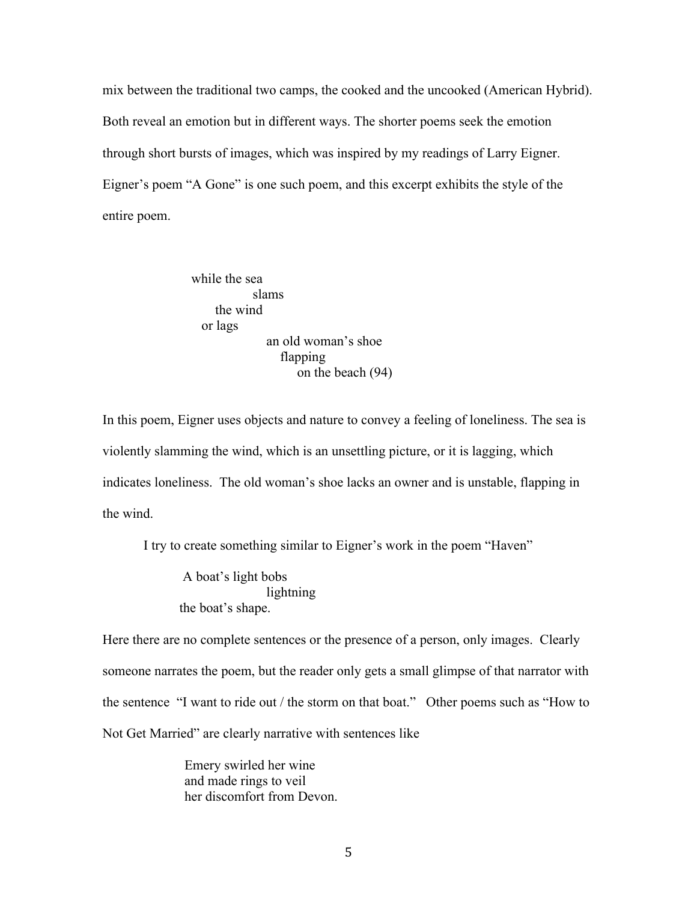mix between the traditional two camps, the cooked and the uncooked (American Hybrid). Both reveal an emotion but in different ways. The shorter poems seek the emotion through short bursts of images, which was inspired by my readings of Larry Eigner. Eigner's poem "A Gone" is one such poem, and this excerpt exhibits the style of the entire poem.

> while the sea slams the wind or lags an old woman's shoe flapping on the beach (94)

In this poem, Eigner uses objects and nature to convey a feeling of loneliness. The sea is violently slamming the wind, which is an unsettling picture, or it is lagging, which indicates loneliness. The old woman's shoe lacks an owner and is unstable, flapping in the wind.

I try to create something similar to Eigner's work in the poem "Haven"

 A boat's light bobs lightning the boat's shape.

Here there are no complete sentences or the presence of a person, only images. Clearly someone narrates the poem, but the reader only gets a small glimpse of that narrator with the sentence "I want to ride out / the storm on that boat." Other poems such as "How to Not Get Married" are clearly narrative with sentences like

> Emery swirled her wine and made rings to veil her discomfort from Devon.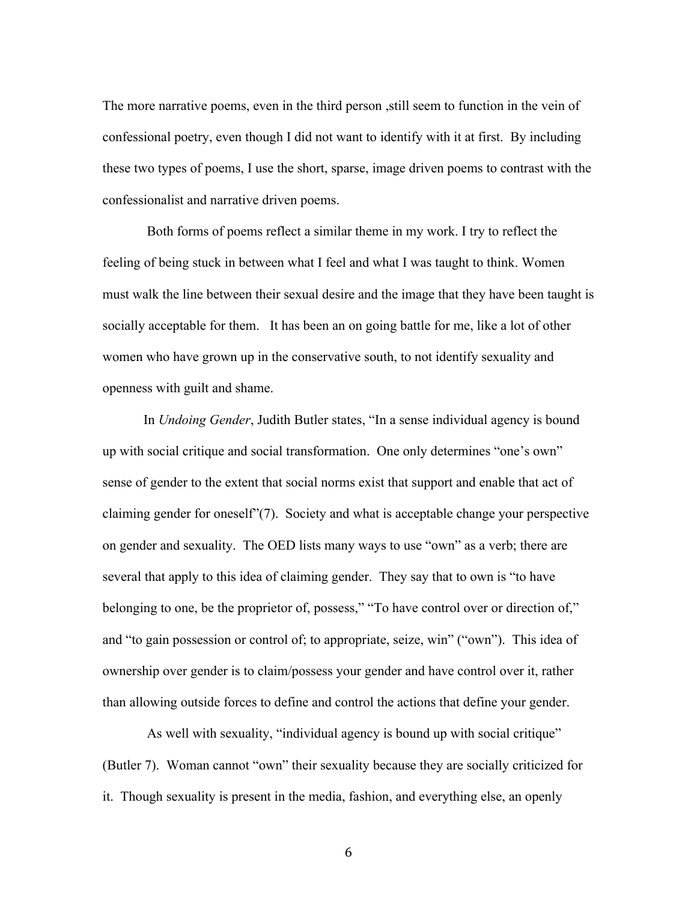The more narrative poems, even in the third person ,still seem to function in the vein of confessional poetry, even though I did not want to identify with it at first. By including these two types of poems, I use the short, sparse, image driven poems to contrast with the confessionalist and narrative driven poems.

Both forms of poems reflect a similar theme in my work. I try to reflect the feeling of being stuck in between what I feel and what I was taught to think. Women must walk the line between their sexual desire and the image that they have been taught is socially acceptable for them. It has been an on going battle for me, like a lot of other women who have grown up in the conservative south, to not identify sexuality and openness with guilt and shame.

In *Undoing Gender*, Judith Butler states, "In a sense individual agency is bound up with social critique and social transformation. One only determines "one's own" sense of gender to the extent that social norms exist that support and enable that act of claiming gender for oneself"(7). Society and what is acceptable change your perspective on gender and sexuality. The OED lists many ways to use "own" as a verb; there are several that apply to this idea of claiming gender. They say that to own is "to have belonging to one, be the proprietor of, possess," "To have control over or direction of," and "to gain possession or control of; to appropriate, seize, win" ("own"). This idea of ownership over gender is to claim/possess your gender and have control over it, rather than allowing outside forces to define and control the actions that define your gender.

As well with sexuality, "individual agency is bound up with social critique" (Butler 7). Woman cannot "own" their sexuality because they are socially criticized for it. Though sexuality is present in the media, fashion, and everything else, an openly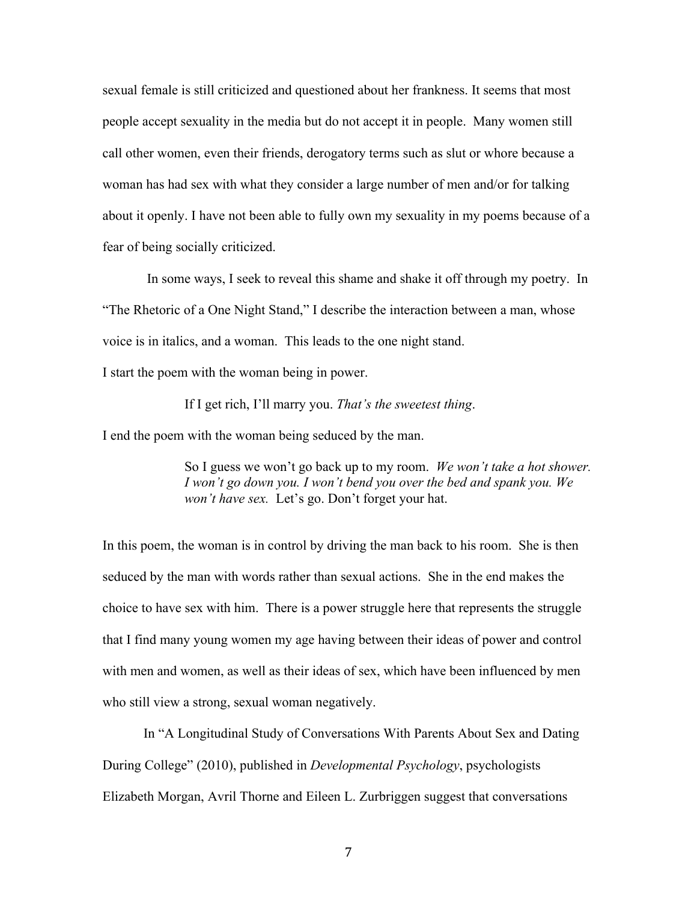sexual female is still criticized and questioned about her frankness. It seems that most people accept sexuality in the media but do not accept it in people. Many women still call other women, even their friends, derogatory terms such as slut or whore because a woman has had sex with what they consider a large number of men and/or for talking about it openly. I have not been able to fully own my sexuality in my poems because of a fear of being socially criticized.

 In some ways, I seek to reveal this shame and shake it off through my poetry. In "The Rhetoric of a One Night Stand," I describe the interaction between a man, whose voice is in italics, and a woman. This leads to the one night stand.

I start the poem with the woman being in power.

If I get rich, I'll marry you. *That's the sweetest thing*.

I end the poem with the woman being seduced by the man.

So I guess we won't go back up to my room. *We won't take a hot shower. I won't go down you. I won't bend you over the bed and spank you. We won't have sex.* Let's go. Don't forget your hat.

In this poem, the woman is in control by driving the man back to his room. She is then seduced by the man with words rather than sexual actions. She in the end makes the choice to have sex with him. There is a power struggle here that represents the struggle that I find many young women my age having between their ideas of power and control with men and women, as well as their ideas of sex, which have been influenced by men who still view a strong, sexual woman negatively.

In "A Longitudinal Study of Conversations With Parents About Sex and Dating During College" (2010), published in *Developmental Psychology*, psychologists Elizabeth Morgan, Avril Thorne and Eileen L. Zurbriggen suggest that conversations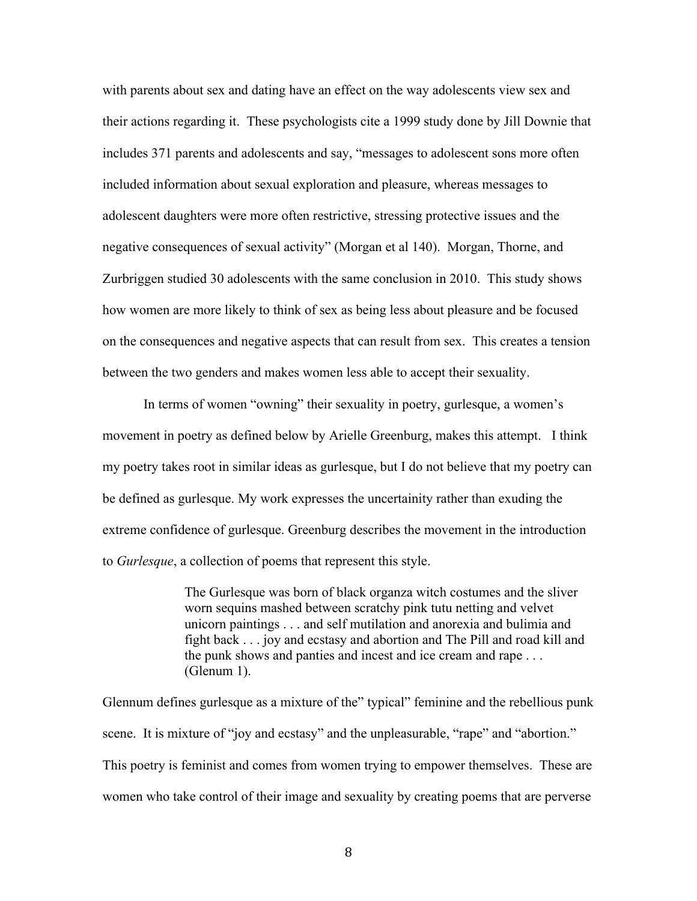with parents about sex and dating have an effect on the way adolescents view sex and their actions regarding it. These psychologists cite a 1999 study done by Jill Downie that includes 371 parents and adolescents and say, "messages to adolescent sons more often included information about sexual exploration and pleasure, whereas messages to adolescent daughters were more often restrictive, stressing protective issues and the negative consequences of sexual activity" (Morgan et al 140). Morgan, Thorne, and Zurbriggen studied 30 adolescents with the same conclusion in 2010. This study shows how women are more likely to think of sex as being less about pleasure and be focused on the consequences and negative aspects that can result from sex. This creates a tension between the two genders and makes women less able to accept their sexuality.

In terms of women "owning" their sexuality in poetry, gurlesque, a women's movement in poetry as defined below by Arielle Greenburg, makes this attempt. I think my poetry takes root in similar ideas as gurlesque, but I do not believe that my poetry can be defined as gurlesque. My work expresses the uncertainity rather than exuding the extreme confidence of gurlesque. Greenburg describes the movement in the introduction to *Gurlesque*, a collection of poems that represent this style.

> The Gurlesque was born of black organza witch costumes and the sliver worn sequins mashed between scratchy pink tutu netting and velvet unicorn paintings . . . and self mutilation and anorexia and bulimia and fight back . . . joy and ecstasy and abortion and The Pill and road kill and the punk shows and panties and incest and ice cream and rape . . . (Glenum 1).

Glennum defines gurlesque as a mixture of the" typical" feminine and the rebellious punk scene. It is mixture of "joy and ecstasy" and the unpleasurable, "rape" and "abortion." This poetry is feminist and comes from women trying to empower themselves. These are women who take control of their image and sexuality by creating poems that are perverse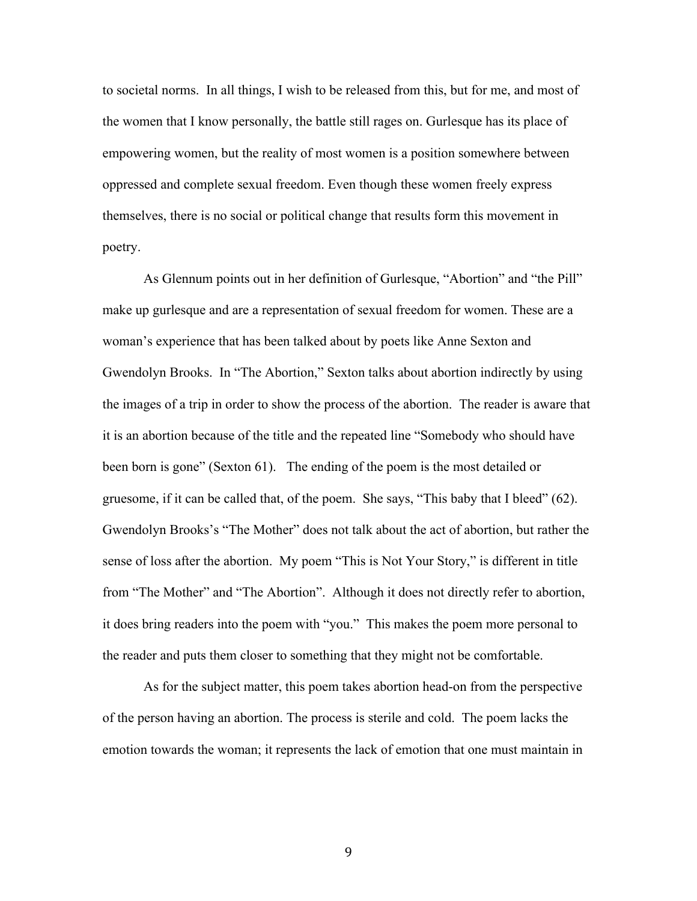to societal norms. In all things, I wish to be released from this, but for me, and most of the women that I know personally, the battle still rages on. Gurlesque has its place of empowering women, but the reality of most women is a position somewhere between oppressed and complete sexual freedom. Even though these women freely express themselves, there is no social or political change that results form this movement in poetry.

As Glennum points out in her definition of Gurlesque, "Abortion" and "the Pill" make up gurlesque and are a representation of sexual freedom for women. These are a woman's experience that has been talked about by poets like Anne Sexton and Gwendolyn Brooks. In "The Abortion," Sexton talks about abortion indirectly by using the images of a trip in order to show the process of the abortion. The reader is aware that it is an abortion because of the title and the repeated line "Somebody who should have been born is gone" (Sexton 61). The ending of the poem is the most detailed or gruesome, if it can be called that, of the poem. She says, "This baby that I bleed" (62). Gwendolyn Brooks's "The Mother" does not talk about the act of abortion, but rather the sense of loss after the abortion. My poem "This is Not Your Story," is different in title from "The Mother" and "The Abortion". Although it does not directly refer to abortion, it does bring readers into the poem with "you." This makes the poem more personal to the reader and puts them closer to something that they might not be comfortable.

As for the subject matter, this poem takes abortion head-on from the perspective of the person having an abortion. The process is sterile and cold. The poem lacks the emotion towards the woman; it represents the lack of emotion that one must maintain in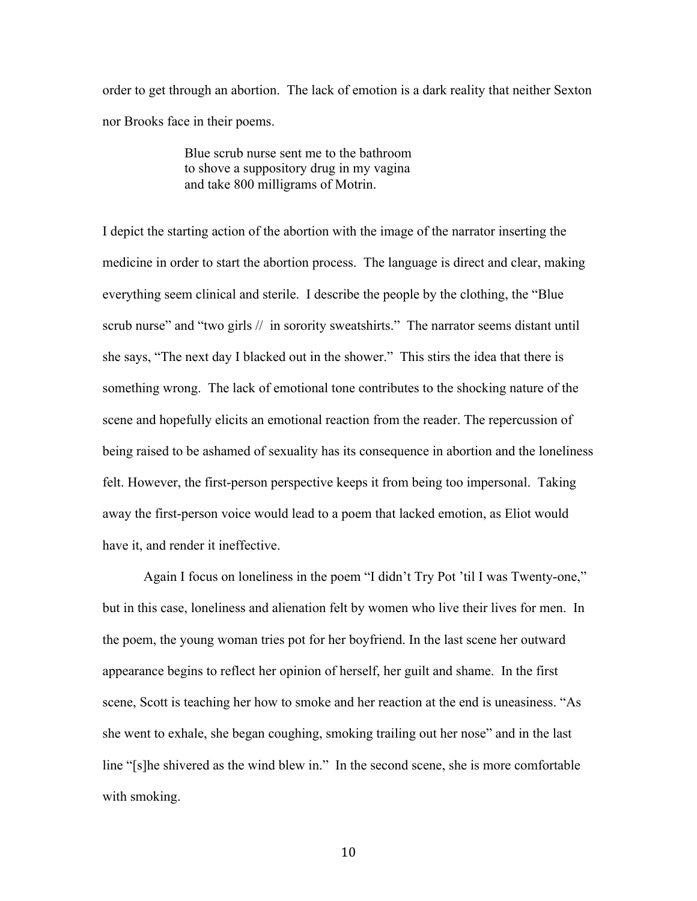order to get through an abortion. The lack of emotion is a dark reality that neither Sexton nor Brooks face in their poems.

> Blue scrub nurse sent me to the bathroom to shove a suppository drug in my vagina and take 800 milligrams of Motrin.

I depict the starting action of the abortion with the image of the narrator inserting the medicine in order to start the abortion process. The language is direct and clear, making everything seem clinical and sterile. I describe the people by the clothing, the "Blue scrub nurse" and "two girls // in sorority sweatshirts." The narrator seems distant until she says, "The next day I blacked out in the shower." This stirs the idea that there is something wrong. The lack of emotional tone contributes to the shocking nature of the scene and hopefully elicits an emotional reaction from the reader. The repercussion of being raised to be ashamed of sexuality has its consequence in abortion and the loneliness felt. However, the first-person perspective keeps it from being too impersonal. Taking away the first-person voice would lead to a poem that lacked emotion, as Eliot would have it, and render it ineffective.

Again I focus on loneliness in the poem "I didn't Try Pot 'til I was Twenty-one," but in this case, loneliness and alienation felt by women who live their lives for men. In the poem, the young woman tries pot for her boyfriend. In the last scene her outward appearance begins to reflect her opinion of herself, her guilt and shame. In the first scene, Scott is teaching her how to smoke and her reaction at the end is uneasiness. "As she went to exhale, she began coughing, smoking trailing out her nose" and in the last line "[s]he shivered as the wind blew in." In the second scene, she is more comfortable with smoking.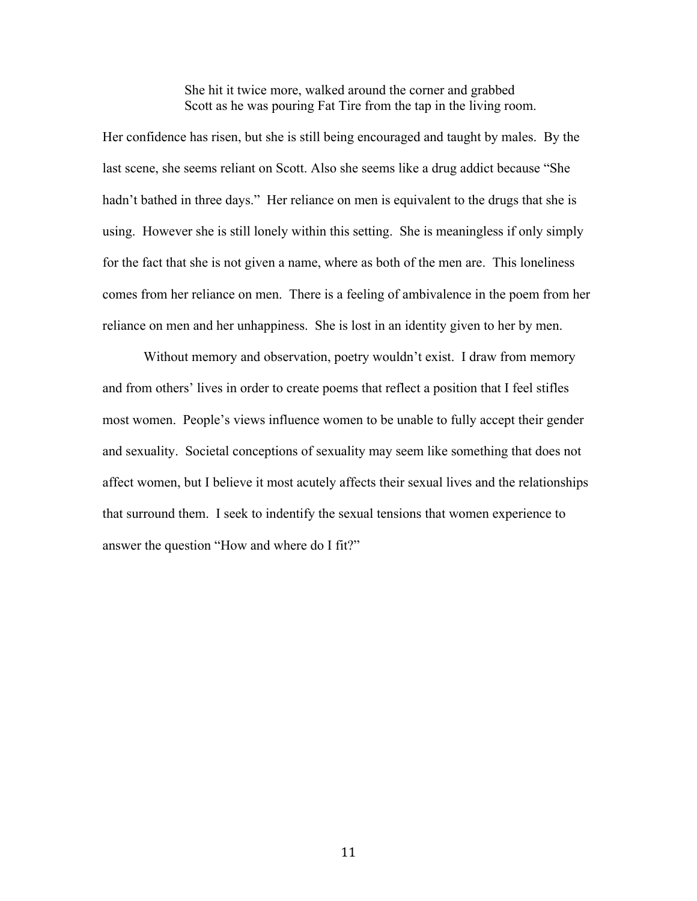She hit it twice more, walked around the corner and grabbed Scott as he was pouring Fat Tire from the tap in the living room.

Her confidence has risen, but she is still being encouraged and taught by males. By the last scene, she seems reliant on Scott. Also she seems like a drug addict because "She hadn't bathed in three days." Her reliance on men is equivalent to the drugs that she is using. However she is still lonely within this setting. She is meaningless if only simply for the fact that she is not given a name, where as both of the men are. This loneliness comes from her reliance on men. There is a feeling of ambivalence in the poem from her reliance on men and her unhappiness. She is lost in an identity given to her by men.

Without memory and observation, poetry wouldn't exist. I draw from memory and from others' lives in order to create poems that reflect a position that I feel stifles most women. People's views influence women to be unable to fully accept their gender and sexuality. Societal conceptions of sexuality may seem like something that does not affect women, but I believe it most acutely affects their sexual lives and the relationships that surround them. I seek to indentify the sexual tensions that women experience to answer the question "How and where do I fit?"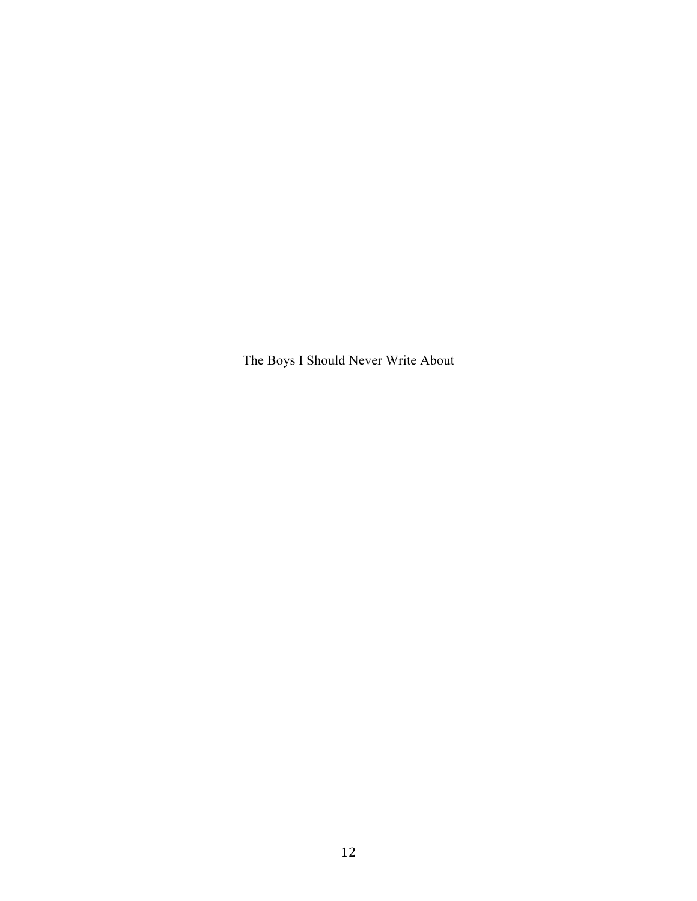The Boys I Should Never Write About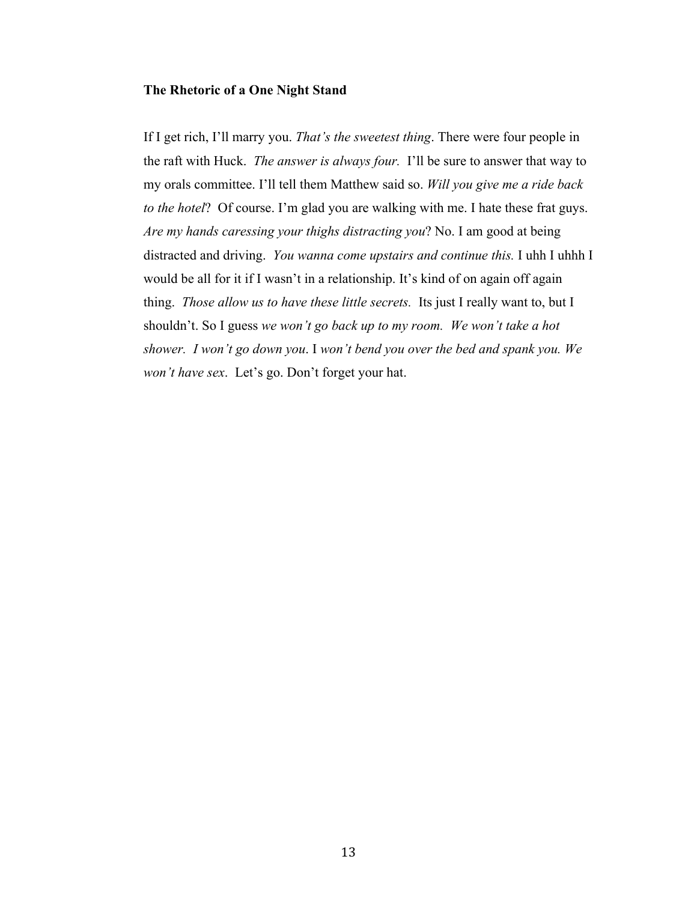#### **The Rhetoric of a One Night Stand**

If I get rich, I'll marry you. *That's the sweetest thing*. There were four people in the raft with Huck. *The answer is always four.* I'll be sure to answer that way to my orals committee. I'll tell them Matthew said so. *Will you give me a ride back to the hotel*? Of course. I'm glad you are walking with me. I hate these frat guys. *Are my hands caressing your thighs distracting you*? No. I am good at being distracted and driving. *You wanna come upstairs and continue this.* I uhh I uhhh I would be all for it if I wasn't in a relationship. It's kind of on again off again thing. *Those allow us to have these little secrets.* Its just I really want to, but I shouldn't. So I guess *we won't go back up to my room. We won't take a hot shower. I won't go down you*. I *won't bend you over the bed and spank you. We won't have sex*. Let's go. Don't forget your hat.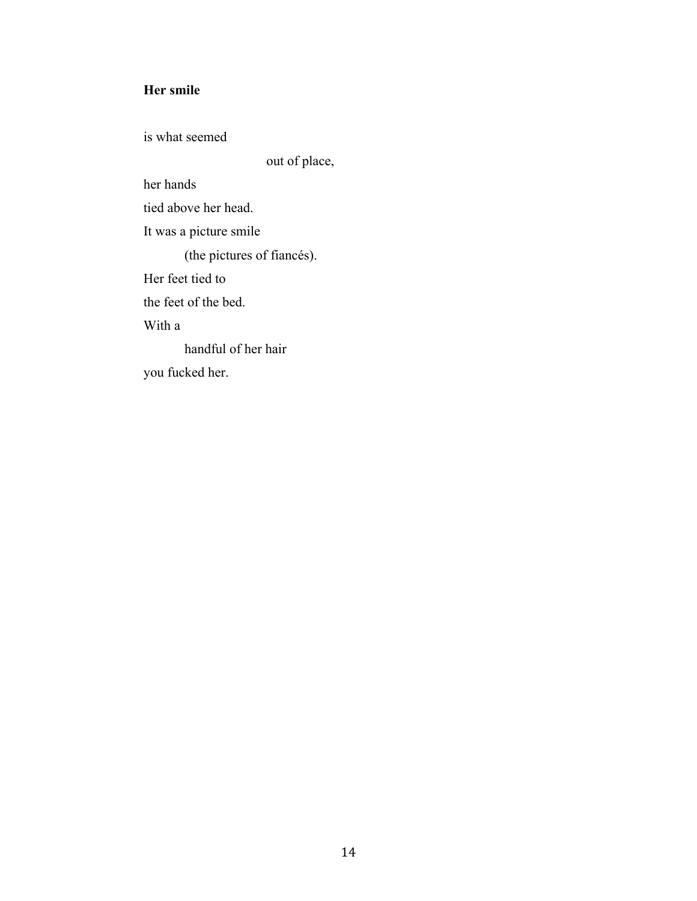# **Her smile**

is what seemed

out of place,

her hands

tied above her head.

It was a picture smile

(the pictures of fiancés).

Her feet tied to

the feet of the bed.

With a

handful of her hair you fucked her.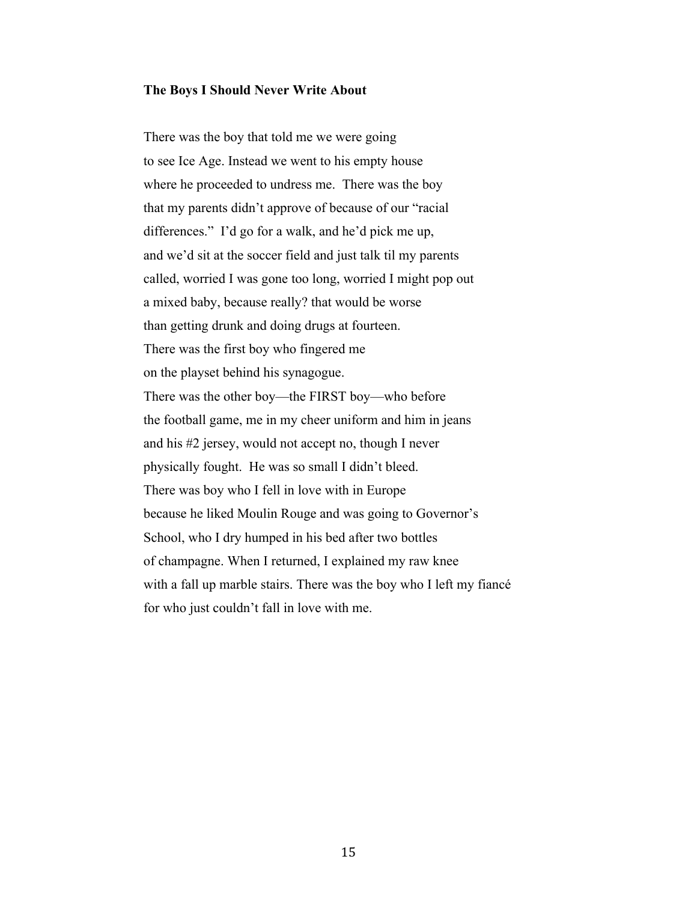### **The Boys I Should Never Write About**

There was the boy that told me we were going to see Ice Age. Instead we went to his empty house where he proceeded to undress me. There was the boy that my parents didn't approve of because of our "racial differences." I'd go for a walk, and he'd pick me up, and we'd sit at the soccer field and just talk til my parents called, worried I was gone too long, worried I might pop out a mixed baby, because really? that would be worse than getting drunk and doing drugs at fourteen. There was the first boy who fingered me on the playset behind his synagogue. There was the other boy—the FIRST boy—who before the football game, me in my cheer uniform and him in jeans and his #2 jersey, would not accept no, though I never physically fought. He was so small I didn't bleed. There was boy who I fell in love with in Europe because he liked Moulin Rouge and was going to Governor's School, who I dry humped in his bed after two bottles of champagne. When I returned, I explained my raw knee with a fall up marble stairs. There was the boy who I left my fiancé for who just couldn't fall in love with me.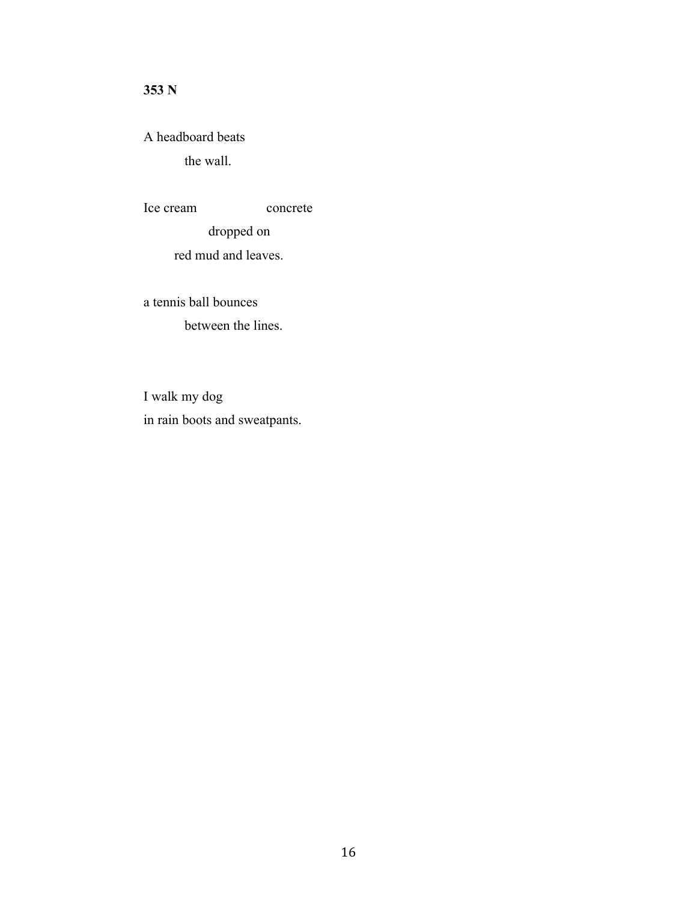# **353 N**

A headboard beats the wall.

Ice cream concrete dropped on red mud and leaves.

a tennis ball bounces between the lines.

I walk my dog in rain boots and sweatpants.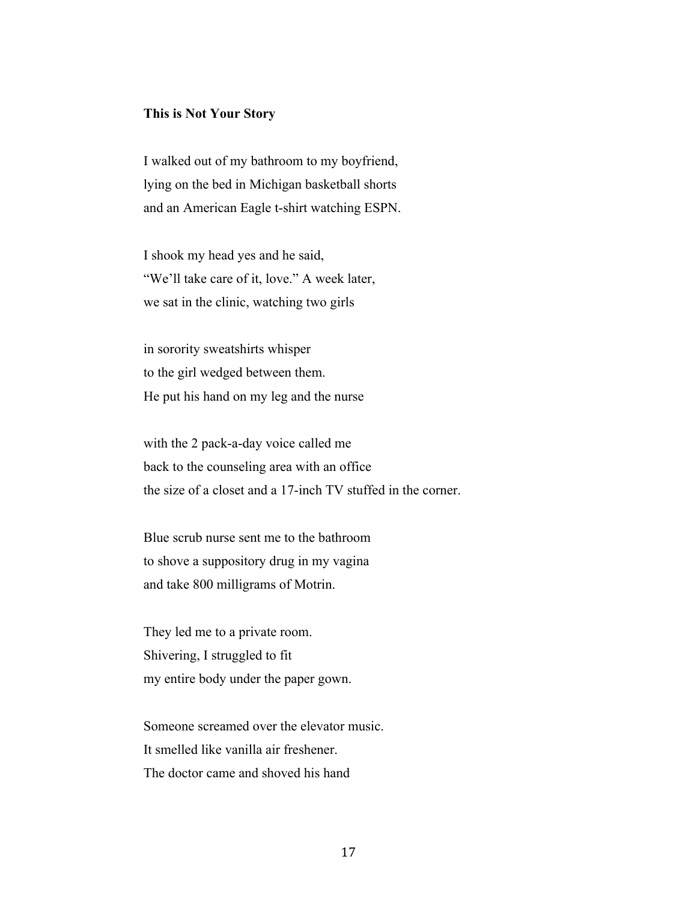#### **This is Not Your Story**

I walked out of my bathroom to my boyfriend, lying on the bed in Michigan basketball shorts and an American Eagle t-shirt watching ESPN.

I shook my head yes and he said, "We'll take care of it, love." A week later, we sat in the clinic, watching two girls

in sorority sweatshirts whisper to the girl wedged between them. He put his hand on my leg and the nurse

with the 2 pack-a-day voice called me back to the counseling area with an office the size of a closet and a 17-inch TV stuffed in the corner.

Blue scrub nurse sent me to the bathroom to shove a suppository drug in my vagina and take 800 milligrams of Motrin.

They led me to a private room. Shivering, I struggled to fit my entire body under the paper gown.

Someone screamed over the elevator music. It smelled like vanilla air freshener. The doctor came and shoved his hand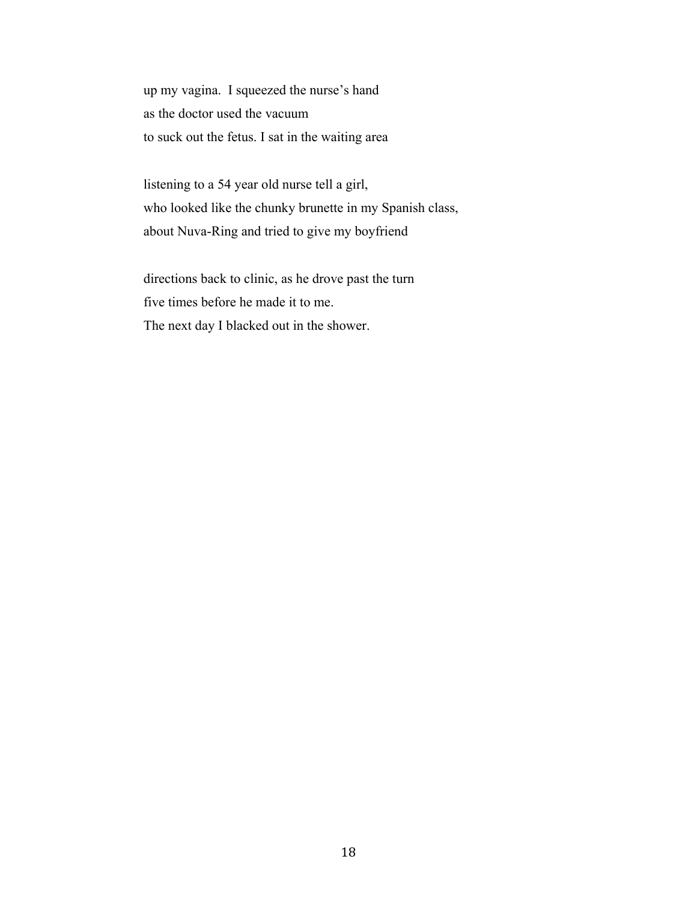up my vagina. I squeezed the nurse's hand as the doctor used the vacuum to suck out the fetus. I sat in the waiting area

listening to a 54 year old nurse tell a girl, who looked like the chunky brunette in my Spanish class, about Nuva-Ring and tried to give my boyfriend

directions back to clinic, as he drove past the turn five times before he made it to me. The next day I blacked out in the shower.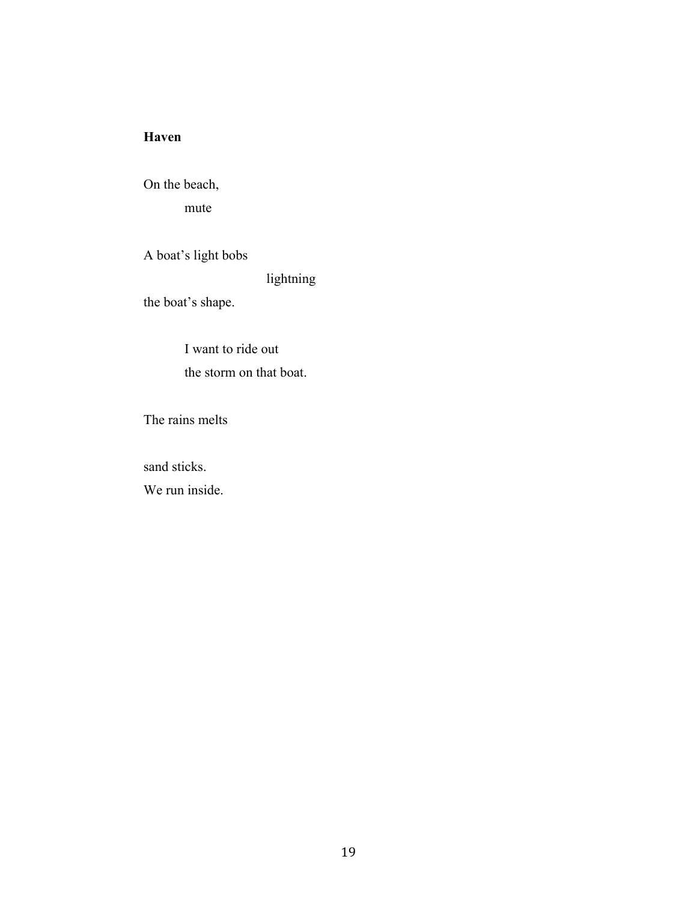# **Haven**

On the beach, mute

A boat's light bobs

lightning

the boat's shape.

I want to ride out the storm on that boat.

The rains melts

sand sticks.

We run inside.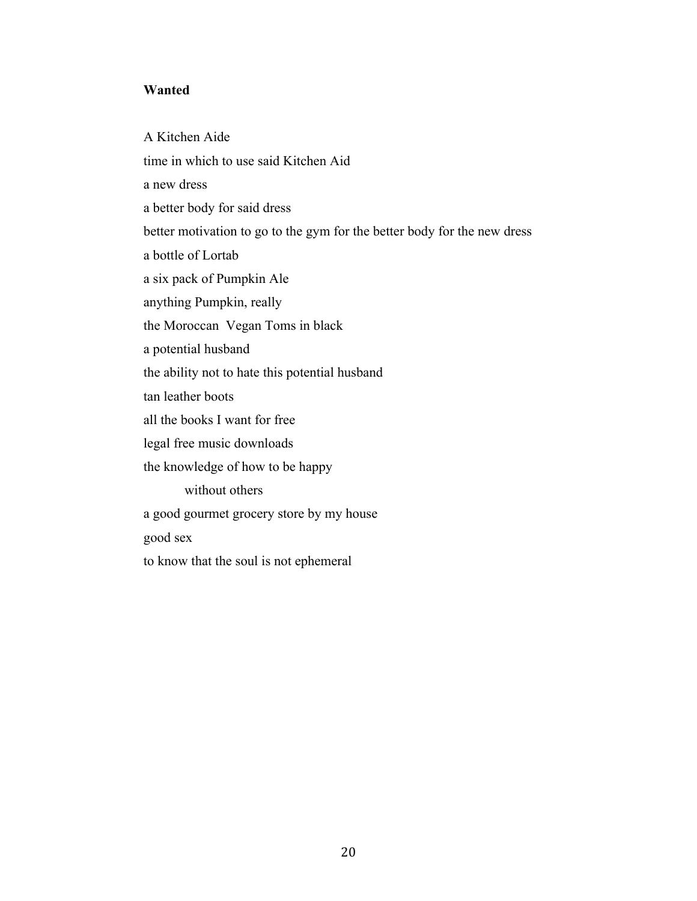### **Wanted**

A Kitchen Aide time in which to use said Kitchen Aid a new dress a better body for said dress better motivation to go to the gym for the better body for the new dress a bottle of Lortab a six pack of Pumpkin Ale anything Pumpkin, really the Moroccan Vegan Toms in black a potential husband the ability not to hate this potential husband tan leather boots all the books I want for free legal free music downloads the knowledge of how to be happy without others a good gourmet grocery store by my house good sex to know that the soul is not ephemeral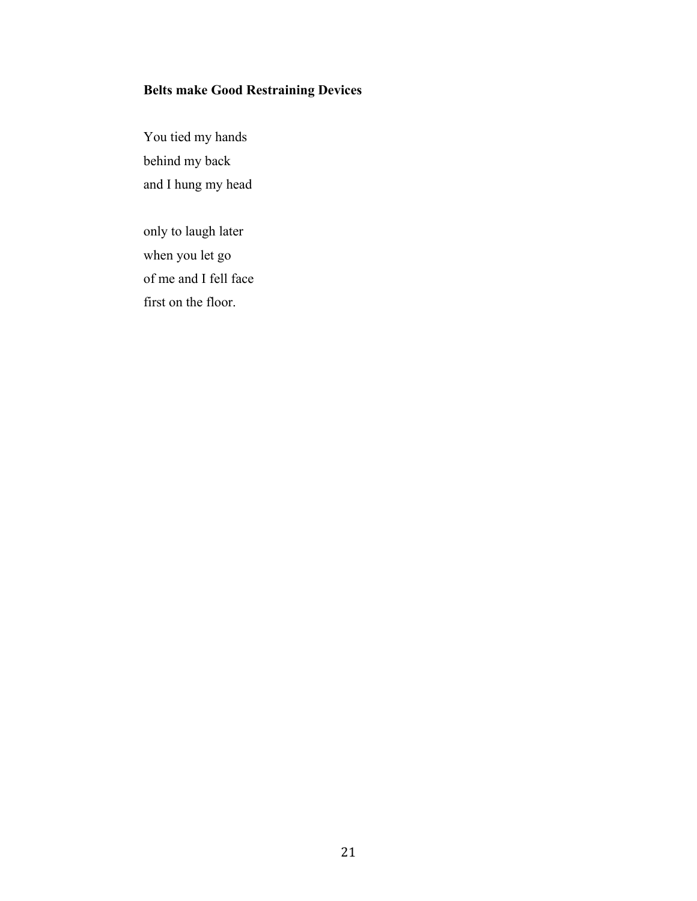# **Belts make Good Restraining Devices**

You tied my hands behind my back and I hung my head

only to laugh later when you let go of me and I fell face first on the floor.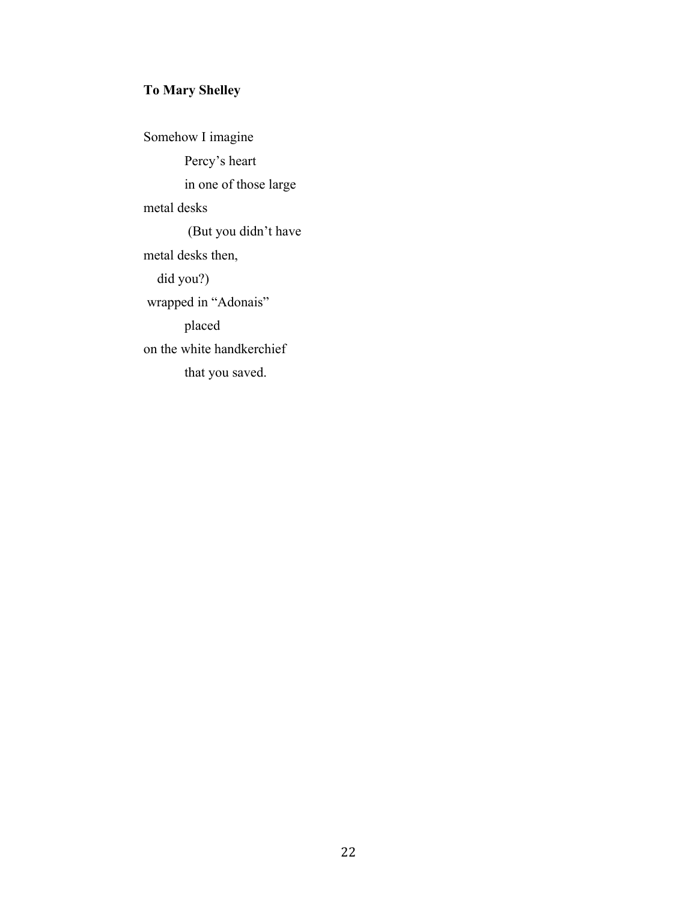# **To Mary Shelley**

Somehow I imagine Percy's heart in one of those large metal desks (But you didn't have metal desks then, did you?) wrapped in "Adonais" placed on the white handkerchief that you saved.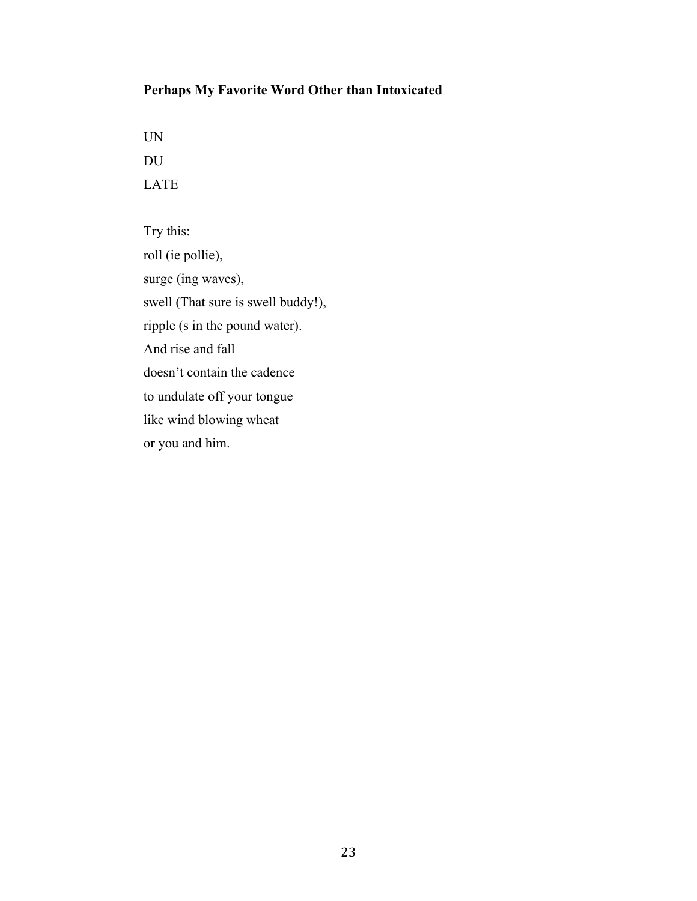# **Perhaps My Favorite Word Other than Intoxicated**

UN DU LATE

Try this: roll (ie pollie), surge (ing waves), swell (That sure is swell buddy!), ripple (s in the pound water). And rise and fall doesn't contain the cadence to undulate off your tongue like wind blowing wheat or you and him.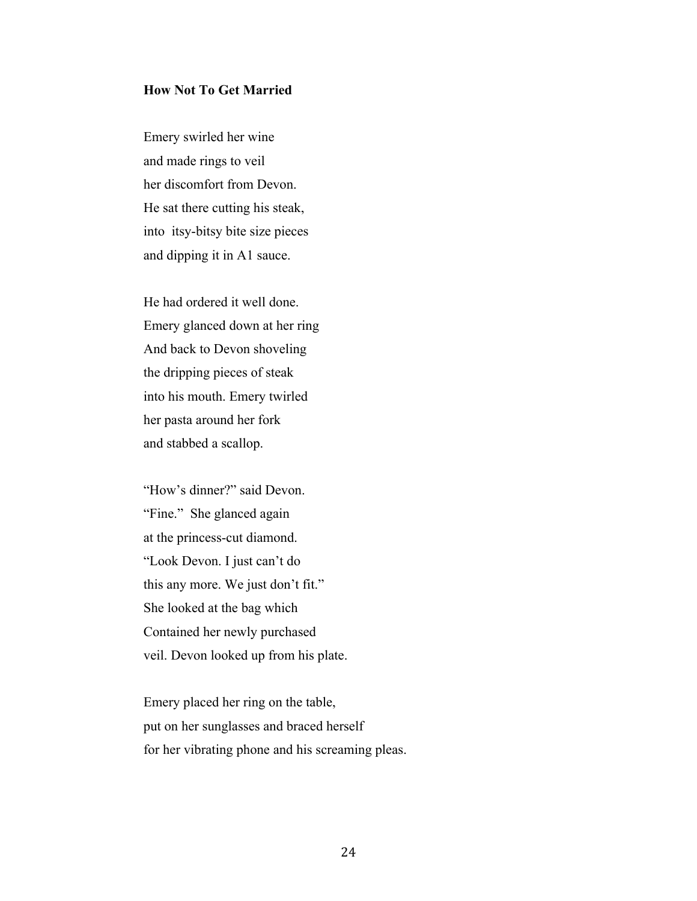### **How Not To Get Married**

Emery swirled her wine and made rings to veil her discomfort from Devon. He sat there cutting his steak, into itsy-bitsy bite size pieces and dipping it in A1 sauce.

He had ordered it well done. Emery glanced down at her ring And back to Devon shoveling the dripping pieces of steak into his mouth. Emery twirled her pasta around her fork and stabbed a scallop.

"How's dinner?" said Devon. "Fine." She glanced again at the princess-cut diamond. "Look Devon. I just can't do this any more. We just don't fit." She looked at the bag which Contained her newly purchased veil. Devon looked up from his plate.

Emery placed her ring on the table, put on her sunglasses and braced herself for her vibrating phone and his screaming pleas.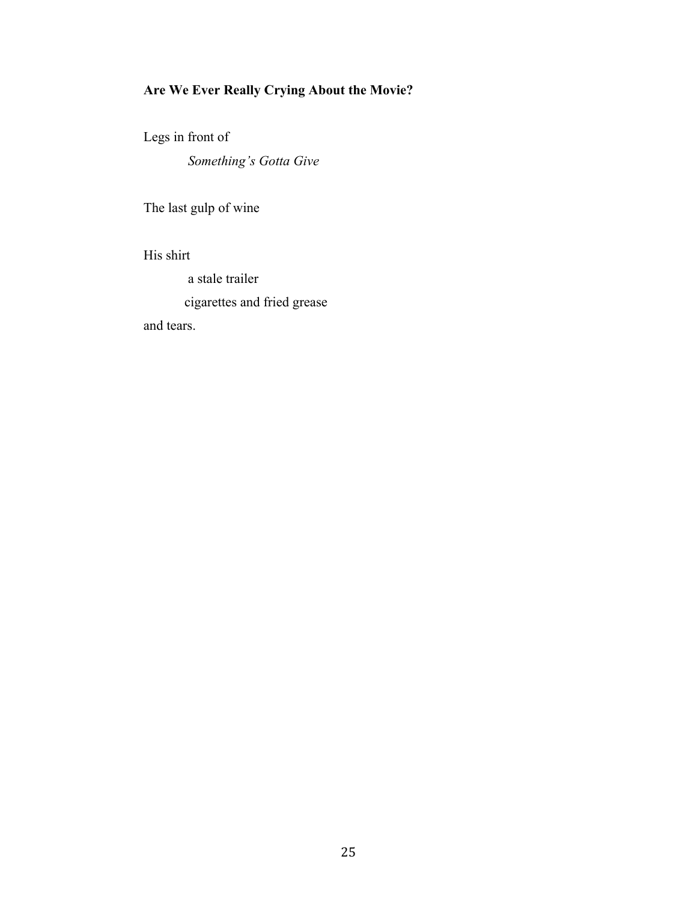# **Are We Ever Really Crying About the Movie?**

Legs in front of

*Something's Gotta Give* 

The last gulp of wine

His shirt

a stale trailer

cigarettes and fried grease

and tears.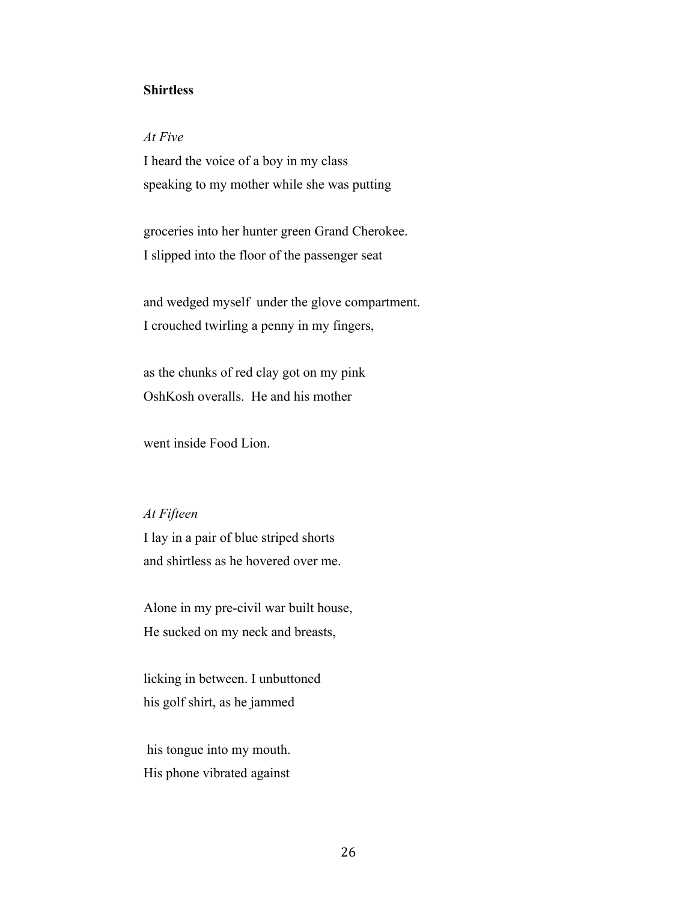### **Shirtless**

### *At Five*

I heard the voice of a boy in my class speaking to my mother while she was putting

groceries into her hunter green Grand Cherokee. I slipped into the floor of the passenger seat

and wedged myself under the glove compartment. I crouched twirling a penny in my fingers,

as the chunks of red clay got on my pink OshKosh overalls. He and his mother

went inside Food Lion.

### *At Fifteen*

I lay in a pair of blue striped shorts and shirtless as he hovered over me.

Alone in my pre-civil war built house, He sucked on my neck and breasts,

licking in between. I unbuttoned his golf shirt, as he jammed

 his tongue into my mouth. His phone vibrated against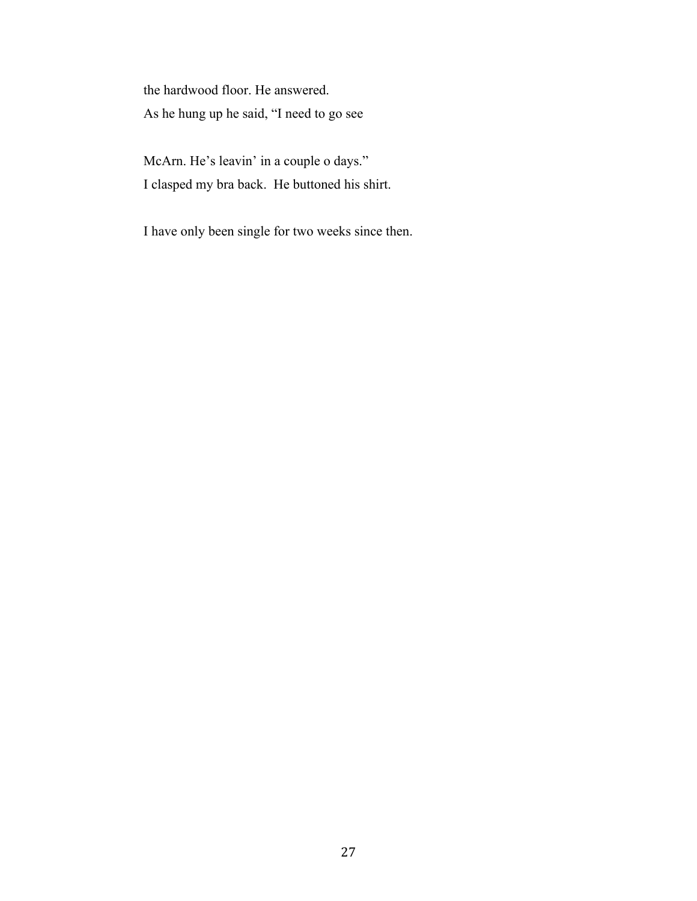the hardwood floor. He answered. As he hung up he said, "I need to go see

McArn. He's leavin' in a couple o days." I clasped my bra back. He buttoned his shirt.

I have only been single for two weeks since then.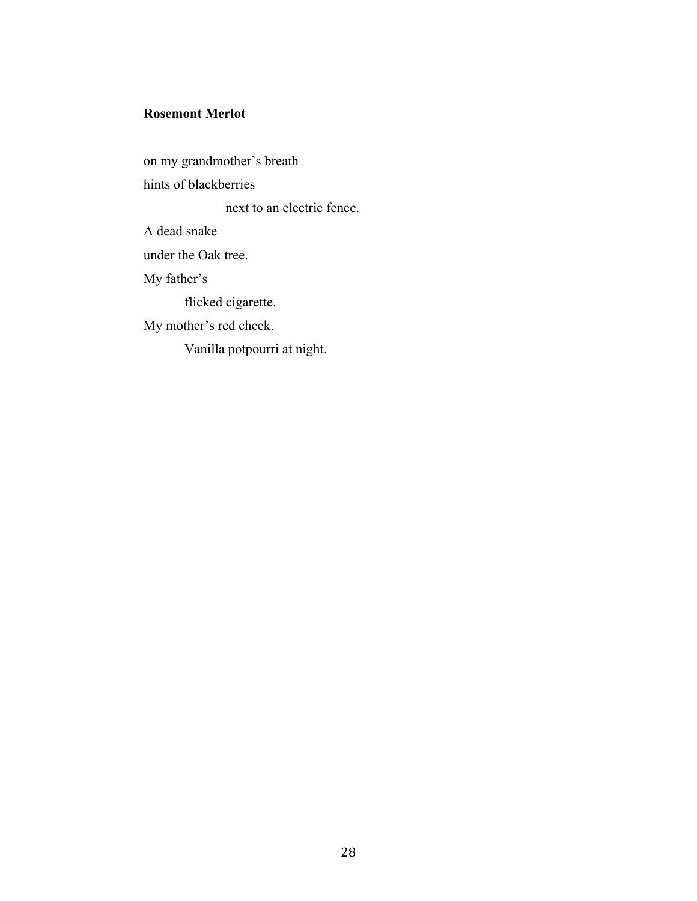### **Rosemont Merlot**

on my grandmother's breath hints of blackberries next to an electric fence. A dead snake under the Oak tree. My father's flicked cigarette. My mother's red cheek. Vanilla potpourri at night.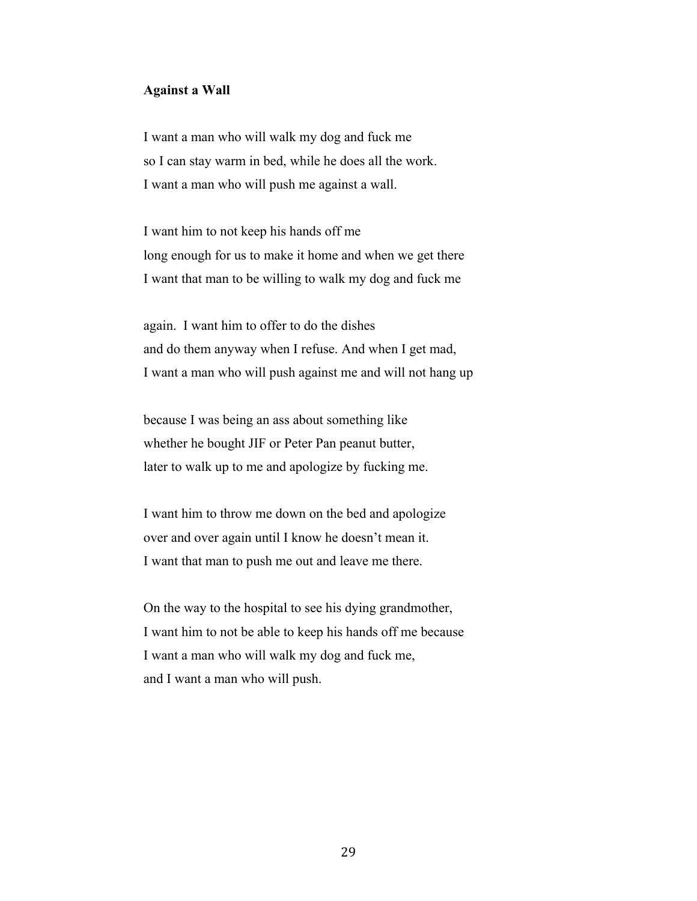### **Against a Wall**

I want a man who will walk my dog and fuck me so I can stay warm in bed, while he does all the work. I want a man who will push me against a wall.

I want him to not keep his hands off me long enough for us to make it home and when we get there I want that man to be willing to walk my dog and fuck me

again. I want him to offer to do the dishes and do them anyway when I refuse. And when I get mad, I want a man who will push against me and will not hang up

because I was being an ass about something like whether he bought JIF or Peter Pan peanut butter, later to walk up to me and apologize by fucking me.

I want him to throw me down on the bed and apologize over and over again until I know he doesn't mean it. I want that man to push me out and leave me there.

On the way to the hospital to see his dying grandmother, I want him to not be able to keep his hands off me because I want a man who will walk my dog and fuck me, and I want a man who will push.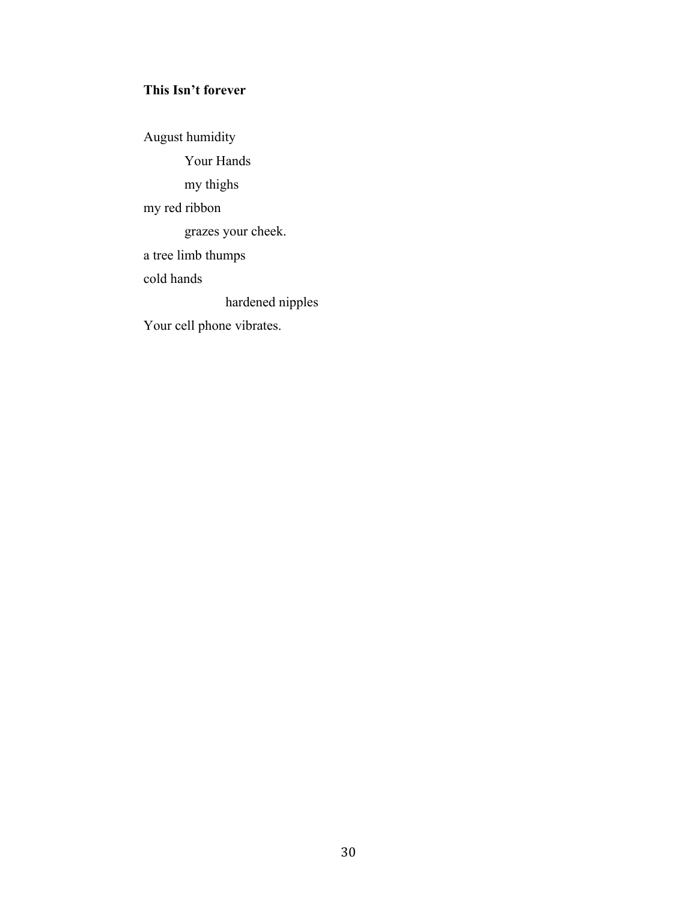# **This Isn't forever**

August humidity Your Hands my thighs my red ribbon grazes your cheek. a tree limb thumps cold hands hardened nipples Your cell phone vibrates.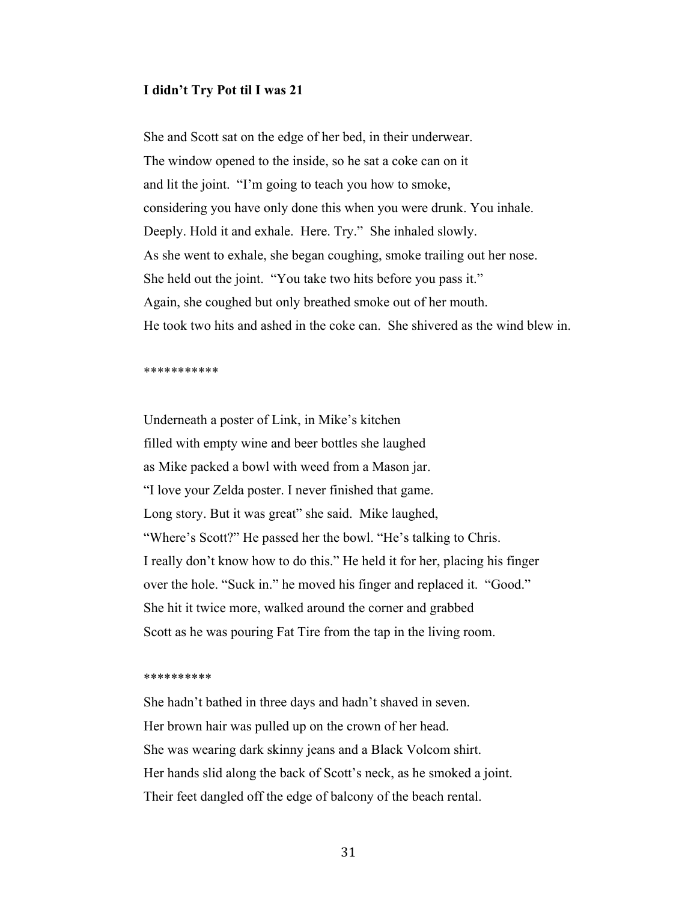#### **I didn't Try Pot til I was 21**

She and Scott sat on the edge of her bed, in their underwear. The window opened to the inside, so he sat a coke can on it and lit the joint. "I'm going to teach you how to smoke, considering you have only done this when you were drunk. You inhale. Deeply. Hold it and exhale. Here. Try." She inhaled slowly. As she went to exhale, she began coughing, smoke trailing out her nose. She held out the joint. "You take two hits before you pass it." Again, she coughed but only breathed smoke out of her mouth. He took two hits and ashed in the coke can. She shivered as the wind blew in.

#### \*\*\*\*\*\*\*\*\*\*\*

Underneath a poster of Link, in Mike's kitchen filled with empty wine and beer bottles she laughed as Mike packed a bowl with weed from a Mason jar. "I love your Zelda poster. I never finished that game. Long story. But it was great" she said. Mike laughed, "Where's Scott?" He passed her the bowl. "He's talking to Chris. I really don't know how to do this." He held it for her, placing his finger over the hole. "Suck in." he moved his finger and replaced it. "Good." She hit it twice more, walked around the corner and grabbed Scott as he was pouring Fat Tire from the tap in the living room.

#### \*\*\*\*\*\*\*\*\*\*

She hadn't bathed in three days and hadn't shaved in seven. Her brown hair was pulled up on the crown of her head. She was wearing dark skinny jeans and a Black Volcom shirt. Her hands slid along the back of Scott's neck, as he smoked a joint. Their feet dangled off the edge of balcony of the beach rental.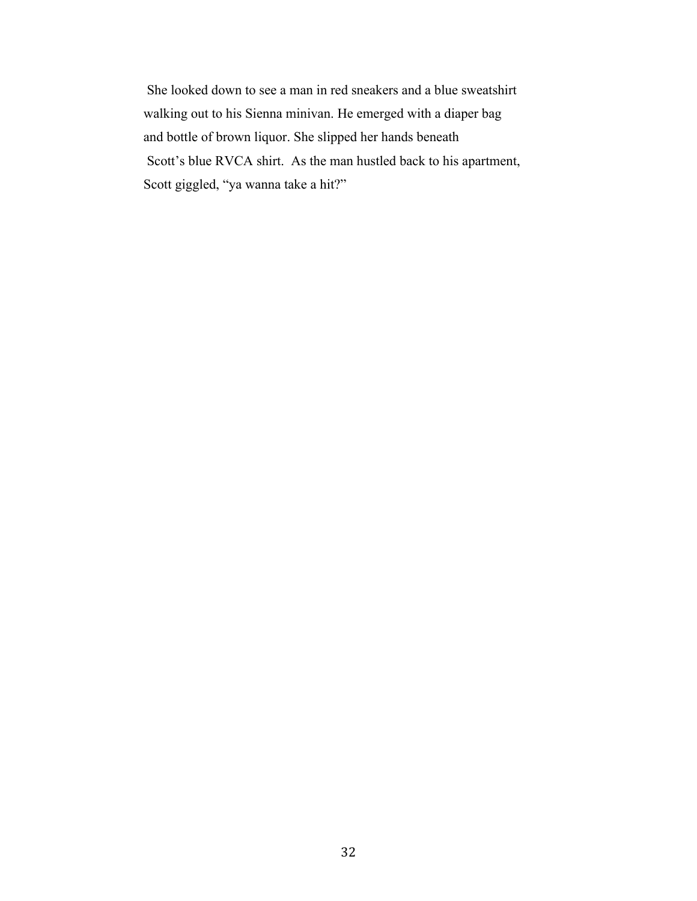She looked down to see a man in red sneakers and a blue sweatshirt walking out to his Sienna minivan. He emerged with a diaper bag and bottle of brown liquor. She slipped her hands beneath Scott's blue RVCA shirt. As the man hustled back to his apartment, Scott giggled, "ya wanna take a hit?"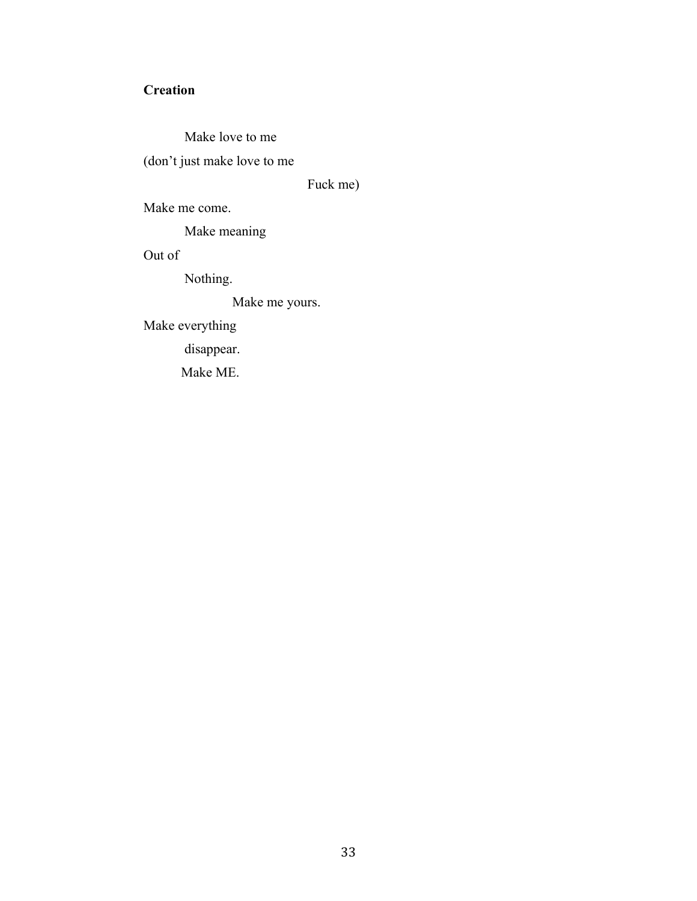# **Creation**

Make love to me (don't just make love to me

Fuck me)

Make me come.

Make meaning

Out of

Nothing.

Make me yours.

Make everything

disappear.

Make ME.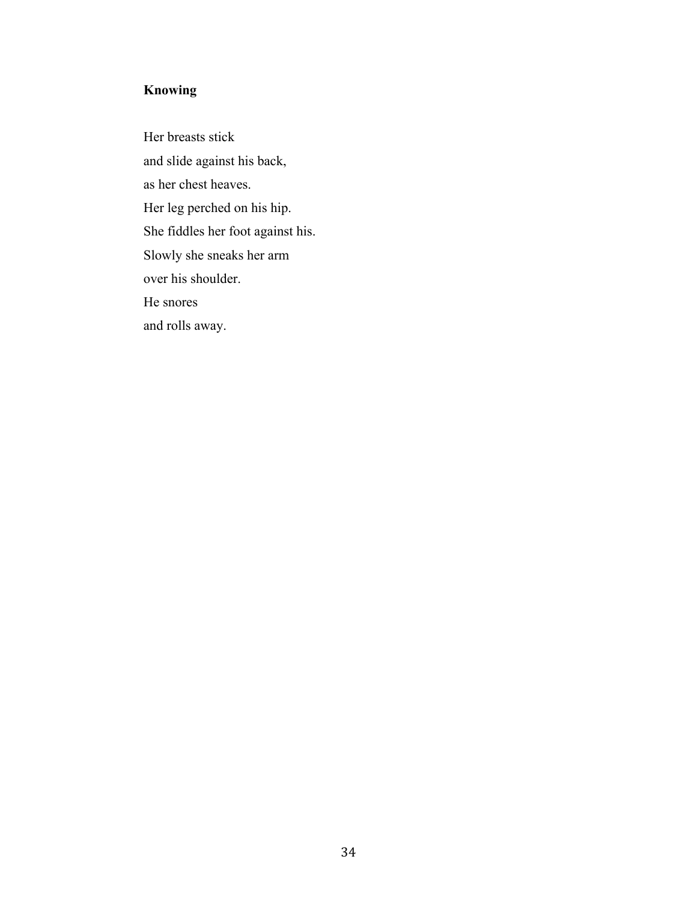# **Knowing**

Her breasts stick and slide against his back, as her chest heaves. Her leg perched on his hip. She fiddles her foot against his. Slowly she sneaks her arm over his shoulder. He snores and rolls away.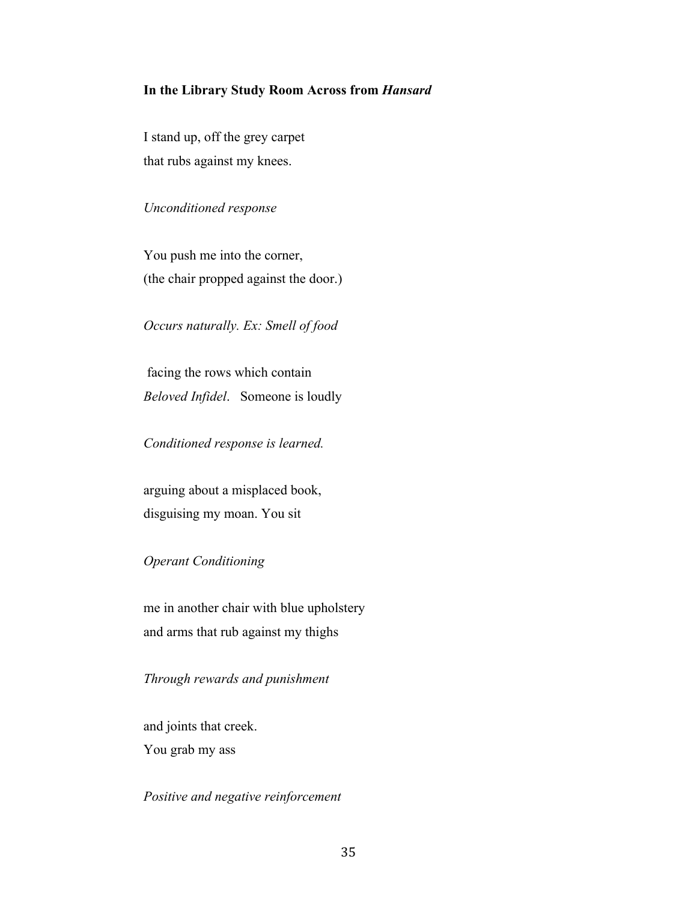### **In the Library Study Room Across from** *Hansard*

I stand up, off the grey carpet that rubs against my knees.

*Unconditioned response*

You push me into the corner, (the chair propped against the door.)

*Occurs naturally. Ex: Smell of food*

 facing the rows which contain *Beloved Infidel*. Someone is loudly

*Conditioned response is learned.*

arguing about a misplaced book, disguising my moan. You sit

*Operant Conditioning* 

me in another chair with blue upholstery and arms that rub against my thighs

*Through rewards and punishment*

and joints that creek. You grab my ass

*Positive and negative reinforcement*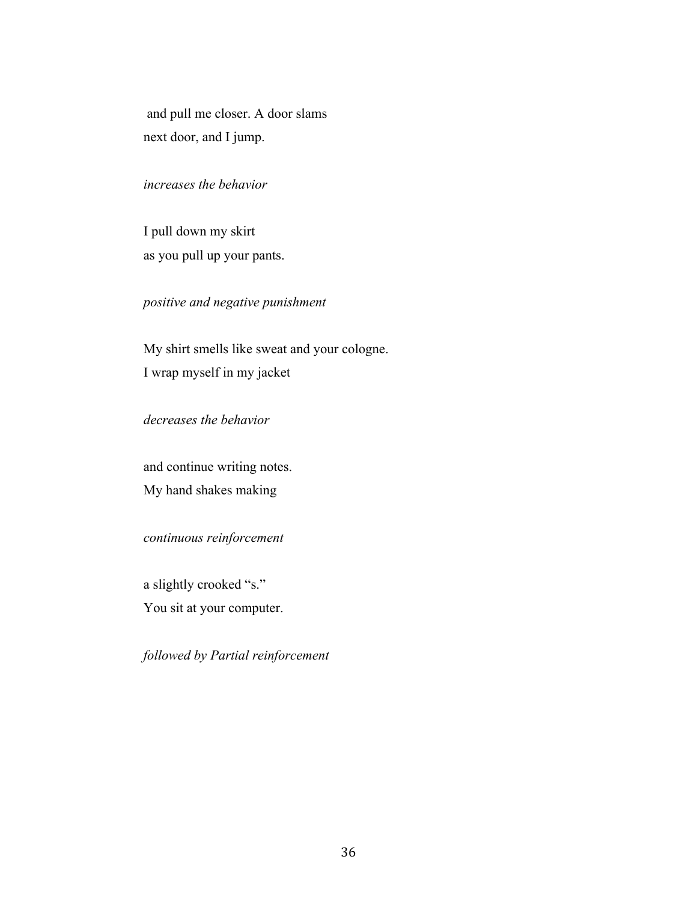and pull me closer. A door slams next door, and I jump.

### *increases the behavior*

I pull down my skirt as you pull up your pants.

# *positive and negative punishment*

My shirt smells like sweat and your cologne. I wrap myself in my jacket

## *decreases the behavior*

and continue writing notes. My hand shakes making

*continuous reinforcement* 

a slightly crooked "s."

You sit at your computer.

*followed by Partial reinforcement*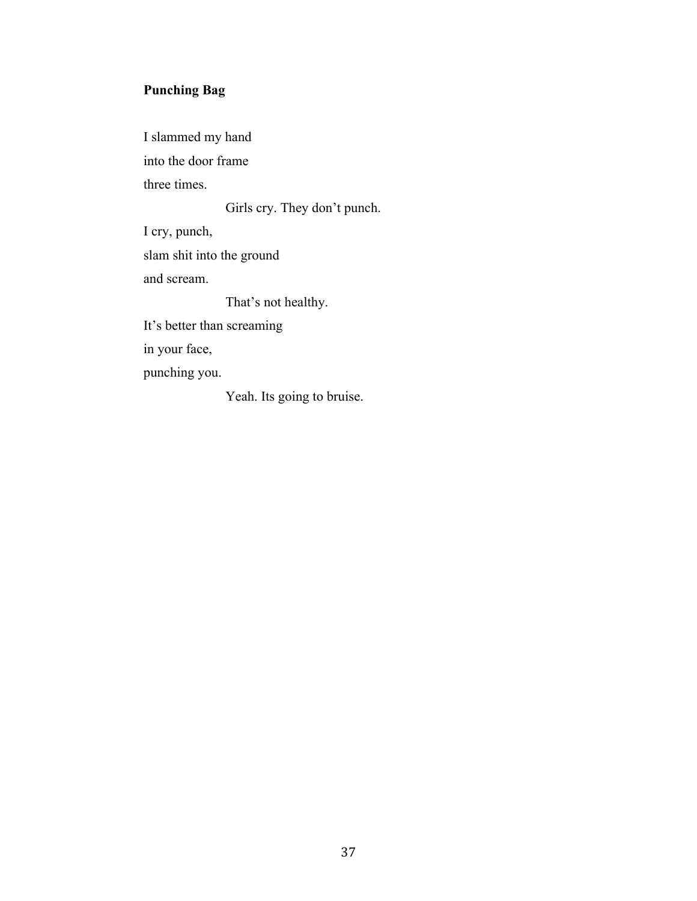# **Punching Bag**

I slammed my hand into the door frame three times.

Girls cry. They don't punch.

I cry, punch,

slam shit into the ground

and scream.

That's not healthy.

It's better than screaming

in your face,

punching you.

Yeah. Its going to bruise.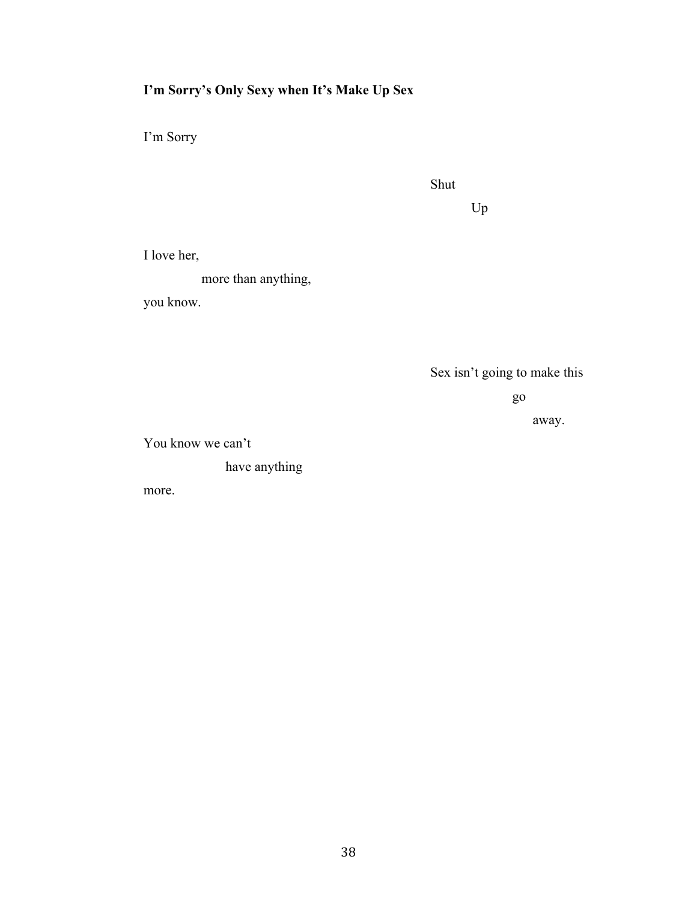# **I'm Sorry's Only Sexy when It's Make Up Sex**

I'm Sorry

| ٧<br>۰.<br>۰.<br>v<br>v |
|-------------------------|
|-------------------------|

Up

I love her,

more than anything,

you know.

Sex isn't going to make this

go

away.

You know we can't

have anything

more.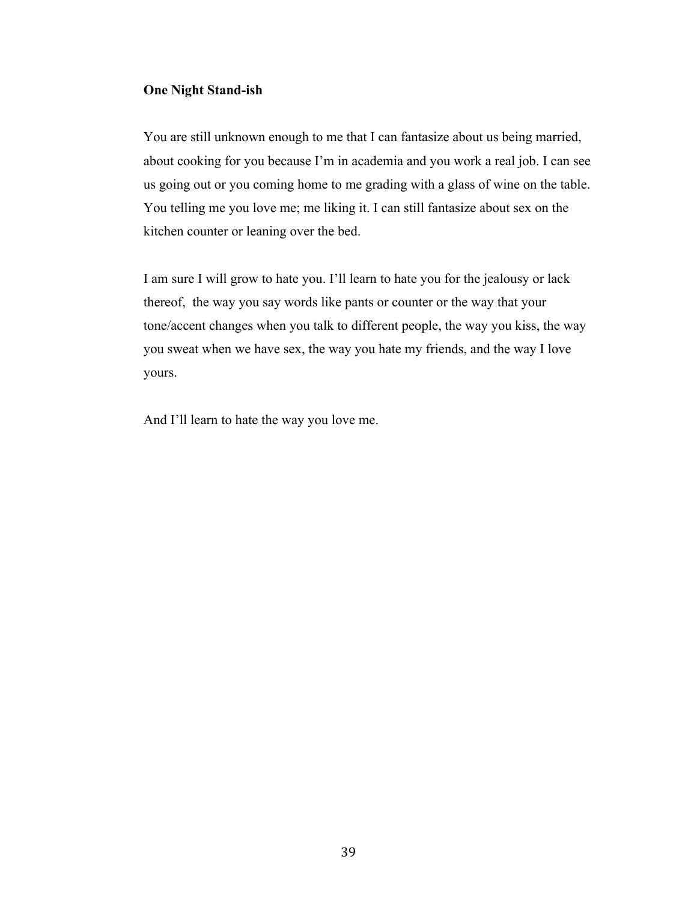### **One Night Stand-ish**

You are still unknown enough to me that I can fantasize about us being married, about cooking for you because I'm in academia and you work a real job. I can see us going out or you coming home to me grading with a glass of wine on the table. You telling me you love me; me liking it. I can still fantasize about sex on the kitchen counter or leaning over the bed.

I am sure I will grow to hate you. I'll learn to hate you for the jealousy or lack thereof, the way you say words like pants or counter or the way that your tone/accent changes when you talk to different people, the way you kiss, the way you sweat when we have sex, the way you hate my friends, and the way I love yours.

And I'll learn to hate the way you love me.